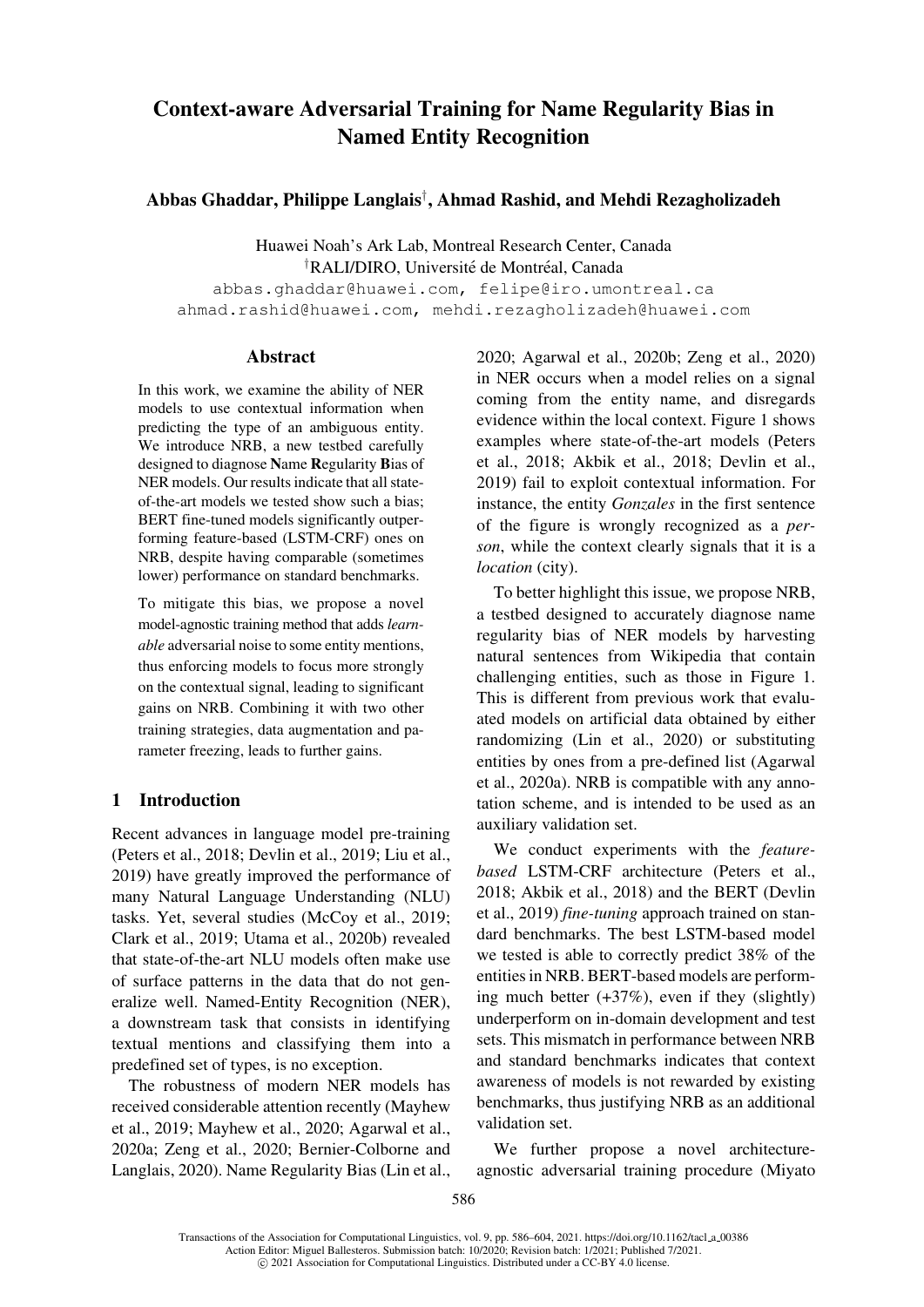# Context-aware Adversarial Training for Name Regularity Bias in Named Entity Recognition

# Abbas Ghaddar, Philippe Langlais† , Ahmad Rashid, and Mehdi Rezagholizadeh

Huawei Noah's Ark Lab, Montreal Research Center, Canada <sup>†</sup>RALI/DIRO, Université de Montréal, Canada

abbas.ghaddar@huawei.com, felipe@iro.umontreal.ca ahmad.rashid@huawei.com, mehdi.rezagholizadeh@huawei.com

#### [Abstract](mailto:abbas.ghaddar@huawei.com)

In thi[s work, we examine the ability of NER](mailto:ahmad.rashid@huawei.com) models to use contextual information when predicting the type of an ambiguous entity. We introduce NRB, a new testbed carefully designed to diagnose Name Regularity Bias of NER models. Our results indicate that all stateof-the-art models we tested show such a bias; BERT fine-tuned models significantly outperforming feature-based (LSTM-CRF) ones on NRB, despite having comparable (sometimes lower) performance on standard benchmarks.

To mitigate this bias, we propose a novel model-agnostic training method that adds *learnable* adversarial noise to some entity mentions, thus enforcing models to focus more strongly on the contextual signal, leading to significant gains on NRB. Combining it with two other training strategies, data augmentation and parameter freezing, leads to further gains.

# 1 Introduction

Recent advances in language model pre-training (Peters et al., 2018; Devlin et al., 2019; Liu et al., 2019) have greatly improved the performance of many Natural Language Understanding (NLU) tasks. Yet, several studies (McCoy et al., 2019; [Clark](#page-16-0) [et](#page-16-0) [al.,](#page-16-0) [2019;](#page-16-0) [Utama](#page-13-0) [et](#page-13-0) [al.,](#page-13-0) [2020b](#page-13-0)[\)](#page-15-0) [revealed](#page-15-0) [that](#page-15-0) [s](#page-15-0)tate-of-the-art NLU models often make use of surface patterns in the data that do not generalize well. Named-Entity [Recognition](#page-15-1) ([NER\)](#page-15-1), [a](#page-13-1) [downstream](#page-13-1) [tas](#page-13-1)[k](#page-17-0) [that](#page-17-0) [consists](#page-17-0) [in](#page-17-0) [id](#page-17-0)entifying textual mentions and classifying them into a predefined set of types, is no exception.

The robustness of modern NER models has received considerable attention recently (Mayhew et al., 2019; Mayhew et al., 2020; Agarwal et al., 2020a; Zeng et al., 2020; Bernier-Colborne and Langlais, 2020). Name Regularity Bias (Lin et al.,

[2020; Agarwal et al., 2020b; Zeng](mailto:felipe@iro.umontreal.ca) et al., 2020) [in NER occurs when a model relies on](mailto:mehdi.rezagholizadeh@huawei.com) a signal coming from the entity name, and disregards evidence within the local context. Figure 1 shows [exam](#page-15-2)[ples](#page-11-0) [where](#page-11-0) [state](#page-11-0)[-of-the](#page-11-1)-[art](#page-18-0) [models](#page-18-0) ([Peters](#page-18-0) et al., 2018; Akbik et al., 2018; Devlin et al., 2019) fail to exploit contextual information. For instance, the entity *Gonzales* in t[he first se](#page-1-0)ntence of th[e](#page-16-0) [figure](#page-16-0) [is](#page-16-0) [wrongly](#page-16-0) [recognized](#page-16-0) [as](#page-16-0) [a](#page-16-0) *person*, w[hile](#page-16-0) [th](#page-16-0)[e](#page-11-2) [context](#page-11-2) [clear](#page-11-2)[ly](#page-11-3) [sig](#page-11-3)[nals](#page-13-0) [that](#page-13-0) [it](#page-13-0) [is](#page-13-0) [a](#page-13-0) *[locat](#page-13-0)ion* (city).

To better highlight this issue, we propose NRB, a testbed designed to accurately diagnose name regularity bias of NER models by harvesting natural sentences from Wikipedia that contain challenging entities, such as those in Figure 1. This is different from previous work that evaluated models on artificial data obtained by either randomizing (Lin et al., 2020) or substituting entities by ones from a pre-defined list [\(Agarwal](#page-1-0) et al., 2020a). NRB is compatible with any annotation scheme[, and is int](#page-15-2)e[nded](#page-15-2) to be used as an auxiliary validation set.

We [condu](#page-11-5)ct experiments with the *[feature](#page-11-4)[based](#page-11-4)* LSTM-CRF architecture (Peters et al., 2018; Akbik et al., 2018) and the BERT (Devlin et al., 2019) *fine-tuning* approach trained on standard benchmarks. The best LSTM-based model we tested is able to correctly pred[ict](#page-16-0) [38%](#page-16-0) [of](#page-16-0) [the](#page-16-0) [entiti](#page-16-0)e[s](#page-11-3) [in](#page-11-3) [NRB.](#page-11-3) [BERT-ba](#page-11-3)sed models are performing [much](#page-13-0) [b](#page-13-0)etter  $(+37\%)$ , even if they (slightly) underperform on in-domain development and test sets. This mismatch in performance between NRB and standard benchmarks indicates that context awareness of models is not rewarded by existing benchmarks, thus justifying NRB as an additional validation set.

We further propose a novel architectureagnostic adversarial training procedure (Miyato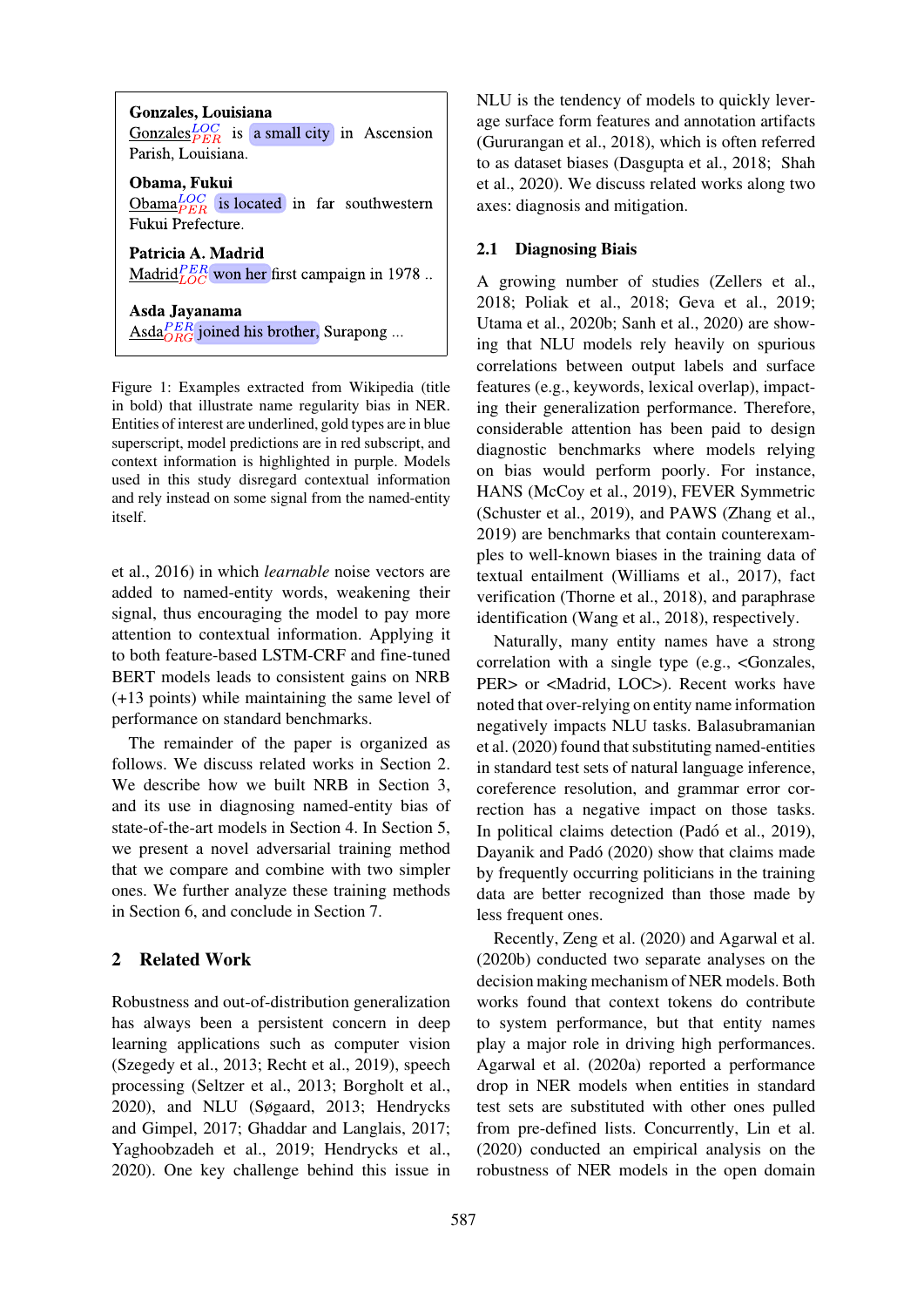**Gonzales, Louisiana** Gonzales $^{LOC}_{PER}$  is a small city in Ascension Parish, Louisiana. Obama, Fukui  $\underline{\text{Obama}}_{PER}^{LOC}$  is located in far southwestern Fukui Prefecture.

Patricia A. Madrid Madrid $_{LOC}^{PER}$  won her first campaign in 1978..

Asda Jayanama  $\frac{\text{Asda}^{PER}_{ORG}}{\text{ORG}}$  joined his brother, Surapong ...

<span id="page-1-0"></span>Figure 1: Examples extracted from Wikipedia (title in bold) that illustrate name regularity bias in NER. Entities of interest are underlined, gold types are in blue superscript, model predictions are in red subscript, and context information is highlighted in purple. Models used in this study disregard contextual information and rely instead on some signal from the named-entity itself.

et al., 2016) in which *learnable* noise vectors are added to named-entity words, weakening their signal, thus encouraging the model to pay more attention to contextual information. Applying it [to](#page-15-3) [bot](#page-15-3)[h](#page-15-4) [feat](#page-15-4)ure-based LSTM-CRF and fine-tuned BERT models leads to consistent gains on NRB (+13 points) while maintaining the same level of performance on standard benchmarks.

The remainder of the paper is organized as follows. We discuss related works in Section 2. We describe how we built NRB in Section 3, and its use in diagnosing named-entity bias of state-of-the-art models in Section 4. In Section 5, we present a novel adversarial traini[ng](#page-1-1) [method](#page-1-1) that we compare and combine with t[wo](#page-3-0) [simpler](#page-3-0) ones. We further analyze these trainin[g methods](#page-6-0) in Section 6, and conclud[e](#page-4-0) [in](#page-4-0) [Sectio](#page-4-0)n 7.

## 2 Related Work

<span id="page-1-1"></span>R[obustness](#page-8-0) [a](#page-8-0)nd out-of-distri[bution](#page-11-6) [gene](#page-11-6)ralization has always been a persistent concern in deep learning applications such as computer vision (Szegedy et al., 2013; Recht et al., 2019), speech processing (Seltzer et al., 2013; Borgholt et al., 2020), and NLU (Søgaard, 2013; Hendrycks and Gimpel, 2017; Ghaddar and Langlais, 2017; [Yaghoobzadeh](#page-17-1) [et](#page-17-1) [al](#page-17-1).[,](#page-16-1) [2019;](#page-16-1) [Hendryck](#page-16-1)s et al., [2020](#page-12-1)). One [key](#page-16-2) [cha](#page-16-2)[llenge](#page-17-2) [beh](#page-16-2)[ind](#page-17-2) [this](#page-12-1) [issue](#page-12-1) [in](#page-12-1) NLU is the tendency of models to quickly leverage surface form features and annotation artifacts (Gururangan et al., 2018), which is often referred to as dataset biases (Dasgupta et al., 2018; Shah et al., 2020). We discuss related works along two [axes: diagnosis and mitig](#page-14-0)ation.

### 2.1 [Diagn](#page-16-3)osing Bi[ais](#page-13-2)

A growing number of studies (Zellers et al., 2018; Poliak et al., 2018; Geva et al., 2019; Utama et al., 2020b; Sanh et al., 2020) are showing that NLU models rely heavi[ly on spurious](#page-18-1) correlations between output labels and surface [featu](#page-18-1)r[es](#page-16-4) [\(e.g.,](#page-16-4) [keywo](#page-16-4)r[ds,](#page-16-4) [lex](#page-16-4)i[cal](#page-13-3) [overlap\),](#page-13-3) [impact](#page-13-3)[ing](#page-17-0) [their](#page-17-0) [generaliza](#page-17-0)t[ion](#page-16-5) [performance.](#page-16-5) Therefore, considerable attention has been paid to design diagnostic benchmarks where models relying on bias would perform poorly. For instance, HANS (McCoy et al., 2019), FEVER Symmetric (Schuster et al., 2019), and PAWS (Zhang et al., 2019) are benchmarks that contain counterexamples to well-known biases in the training data of textual [entailment](#page-15-1) [\(William](#page-15-1)s et al., 2017), fact [verification](#page-16-6) [\(Thorne](#page-16-6) [e](#page-16-6)t al., 2018), a[nd](#page-18-2) [paraphrase](#page-18-2) [ident](#page-18-2)ification (Wang et al., 2018), respectively.

Naturally, many [entity names h](#page-17-3)a[ve a](#page-17-3) strong correlation [with a single](#page-17-4) [type \(](#page-17-4)e.g., <Gonzales, PER> or <M[adrid, LOC>\). Re](#page-17-5)cent works have noted that over-relying on entity name information negatively impacts NLU tasks. Balasubramanian et al. (2020) found that substituting named-entities in standard test sets of natural language inference, coreference resolution, and grammar error correcti[on](#page-12-2) [has](#page-12-2) [a](#page-12-2) [negative](#page-12-2) [impact](#page-12-2) on those tasks. In po[litical](#page-12-2) claims detection (Padó et al., 2019), Dayanik and Padó (2020) show that claims made by frequently occurring politicians in the training data are better recognized t[han those made b](#page-16-7)y [less frequent ones.](#page-13-4)

Recently, Zeng e[t](#page-13-4) [al.](#page-13-4) [\(2](#page-13-4)020) and Agarwal et al. (2020b) conducted two separate analyses on the decision making mechanism of NER models. Both works found that context tokens do contribute [to syst](#page-11-1)em [performance,](#page-18-0) [but](#page-18-0) that [entity](#page-11-1) [names](#page-11-1) play a major role in driving high performances. Agarwal et al. (2020a) reported a performance drop in NER models when entities in standard test sets are substituted with other ones pulled from pre-defined lists. Concurrently, Lin et al. [\(2020\)](#page-11-5) [conduct](#page-11-5)e[d](#page-11-5) [an](#page-11-5) [e](#page-11-5)mpirical analysis on the robustness of NER models in the open domain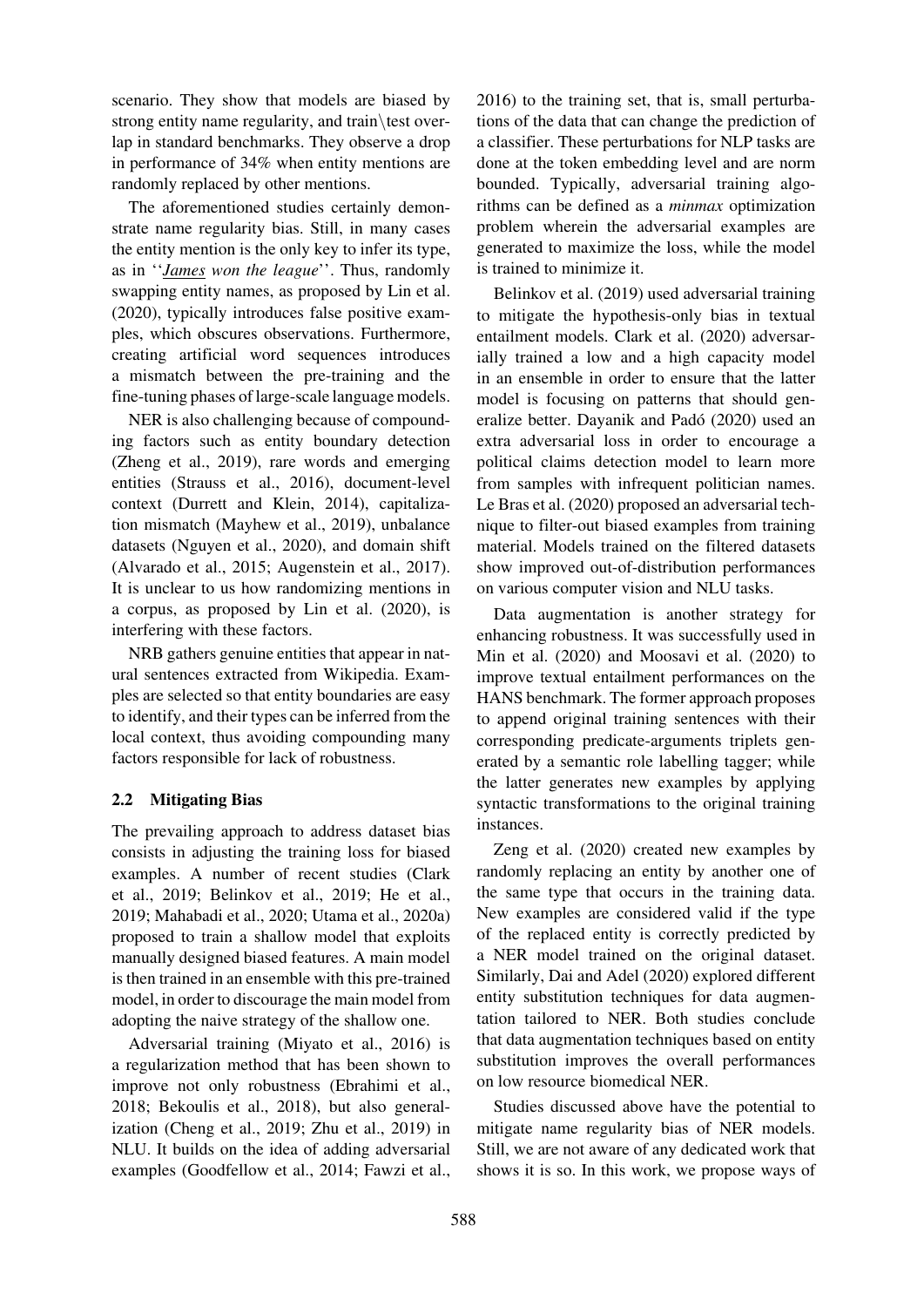scenario. They show that models are biased by strong entity name regularity, and train\test overlap in standard benchmarks. They observe a drop in performance of 34% when entity mentions are randomly replaced by other mentions.

The aforementioned studies certainly demonstrate name regularity bias. Still, in many cases the entity mention is the only key to infer its type, as in ''*James won the league*''. Thus, randomly swapping entity names, as proposed by Lin et al. (2020), typically introduces false positive examples, which obscures observations. Furthermore, creating artificial word sequences i[ntroduces](#page-15-2) [a mis](#page-15-2)match between the pre-training and the fine-tuning phases of large-scale language models.

NER is also challenging because of compounding factors such as entity boundary detection (Zheng et al., 2019), rare words and emerging entities (Strauss et al., 2016), document-level context (Durrett and Klein, 2014), capitalization mismatch (Mayhew et al., 2019), unbalance [datasets](#page-18-3) [\(Ngu](#page-18-3)y[en](#page-18-3) [et](#page-18-3) al., 2020), and domain shift (Alvarad[o](#page-17-6) [et](#page-17-6) [al.,](#page-17-6) [2015;](#page-17-6) [Augens](#page-17-6)tein et al., 2017). It is uncl[ear](#page-13-5) [to](#page-13-5) [us](#page-13-5) [how](#page-13-5) [randomizing](#page-13-5) mentions in a corpus, as p[roposed](#page-15-5) [by](#page-15-5)[Lin](#page-15-5) [et](#page-15-5) [al](#page-15-5). (2020), is [interfering with](#page-12-3) [th](#page-15-6)[ese](#page-12-3) [fa](#page-15-6)ctors.

NRB gathers genuine [entities](#page-12-4) [that](#page-12-4) [appea](#page-12-4)r [in](#page-12-4) [nat](#page-12-4)ural sentences extracted fr[om Wikipe](#page-15-2)d[ia. Ex](#page-15-2)amples are selected so that entity boundaries are easy to identify, and their types can be inferred from the local context, thus avoiding compounding many factors responsible for lack of robustness.

# 2.2 Mitigating Bias

The prevailing approach to address dataset bias consists in adjusting the training loss for biased examples. A number of recent studies (Clark et al., 2019; Belinkov et al., 2019; He et al., 2019; Mahabadi et al., 2020; Utama et al., 2020a) proposed to train a shallow model that exploits manua[lly des](#page-13-1)i[gned biased features. A](#page-12-6) [main m](#page-14-1)[odel](#page-12-5) [is](#page-12-5) [then](#page-12-5) trained in an ensemble with this pre-trained [mode](#page-14-1)[l,](#page-15-7) [in](#page-15-7) [order](#page-15-7) [to](#page-15-7) [discourage](#page-15-7) [the](#page-17-7) [main](#page-17-7) [model](#page-17-7) [from](#page-17-7) adopting the naive strategy of the shallow one.

Adversarial training (Miyato et al., 2016) is a regularization method that has been shown to improve not only robustness (Ebrahimi et al., 2018; Bekoulis et al., 2018), but also generalization (Cheng et al., 2[019;](#page-15-4) [Zhu](#page-15-4) [et](#page-15-4) [al.](#page-15-4), [2019](#page-15-4)) in NLU. It builds on the idea of adding adversarial [exam](#page-13-6)[ples \(Goodfellow et al.,](#page-12-7) 2[014;](#page-13-6) [Fawzi](#page-13-6) [et](#page-13-6) [al.,](#page-13-6)

2016) to the training set, that is, small perturbations of the data that can change the prediction of a classifier. These perturbations for NLP tasks are done at the token embedding level and are norm [boun](#page-13-7)ded. Typically, adversarial training algorithms can be defined as a *minmax* optimization problem wherein the adversarial examples are generated to maximize the loss, while the model is trained to minimize it.

Belinkov et al. (2019) used adversarial training to mitigate the hypothesis-only bias in textual entailment models. Clark et al. (2020) adversar[ially](#page-12-6) [trained](#page-12-6) [a](#page-12-6) [lo](#page-12-6)w and a high capacity model in an ensemble i[n](#page-12-6) [orde](#page-12-6)r to ensure that the latter model is focusing on patterns that should generalize better. Day[anik](#page-13-8) [and](#page-13-8) [Pado](#page-13-8) [\(202](#page-13-8)0) used an ´ extra adversarial loss in order to encourage a political claims detection model to learn more from samples with infrequent politician names. Le Bras et al. ([2020\)](#page-13-4) [proposed](#page-13-4) [an](#page-13-4) [adversa](#page-13-4)rial technique to filter-out biased examples from training material. Models trained on the filtered datasets show improved out-of-distribution performances [on](#page-14-2) [various](#page-14-2) [compute](#page-14-2)r vision and NLU tasks.

Data augmentation is another strategy for enhancing robustness. It was successfully used in Min et al. (2020) and Moosavi et al. (2020) to improve textual entailment performances on the HANS benchmark. The former approach proposes to append original training sentences with their [correspond](#page-15-8)i[ng](#page-15-8) [pr](#page-15-8)edicat[e-arguments](#page-15-9) [tri](#page-15-9)p[lets](#page-15-9) [g](#page-15-9)enerated by a semantic role labelling tagger; while the latter generates new examples by applying syntactic transformations to the original training instances.

Zeng et al. (2020) created new examples by randomly replacing an entity by another one of the same type that occurs in the training data. [New](#page-18-0) [example](#page-18-0)s are considered valid if the type of the replace[d](#page-18-0) [entit](#page-18-0)y is correctly predicted by a NER model trained on the original dataset. Similarly, Dai and Adel (2020) explored different entity substitution techniques for data augmentation tailored to NER. Both studies conclude that data augmentation techniques based on entity substituti[on](#page-13-9) [improves](#page-13-9) [the](#page-13-9) [ov](#page-13-9)erall performances on low resource biomedical NER.

Studies discussed above have the potential to mitigate name regularity bias of NER models. Still, we are not aware of any dedicated work that shows it is so. In this work, we propose ways of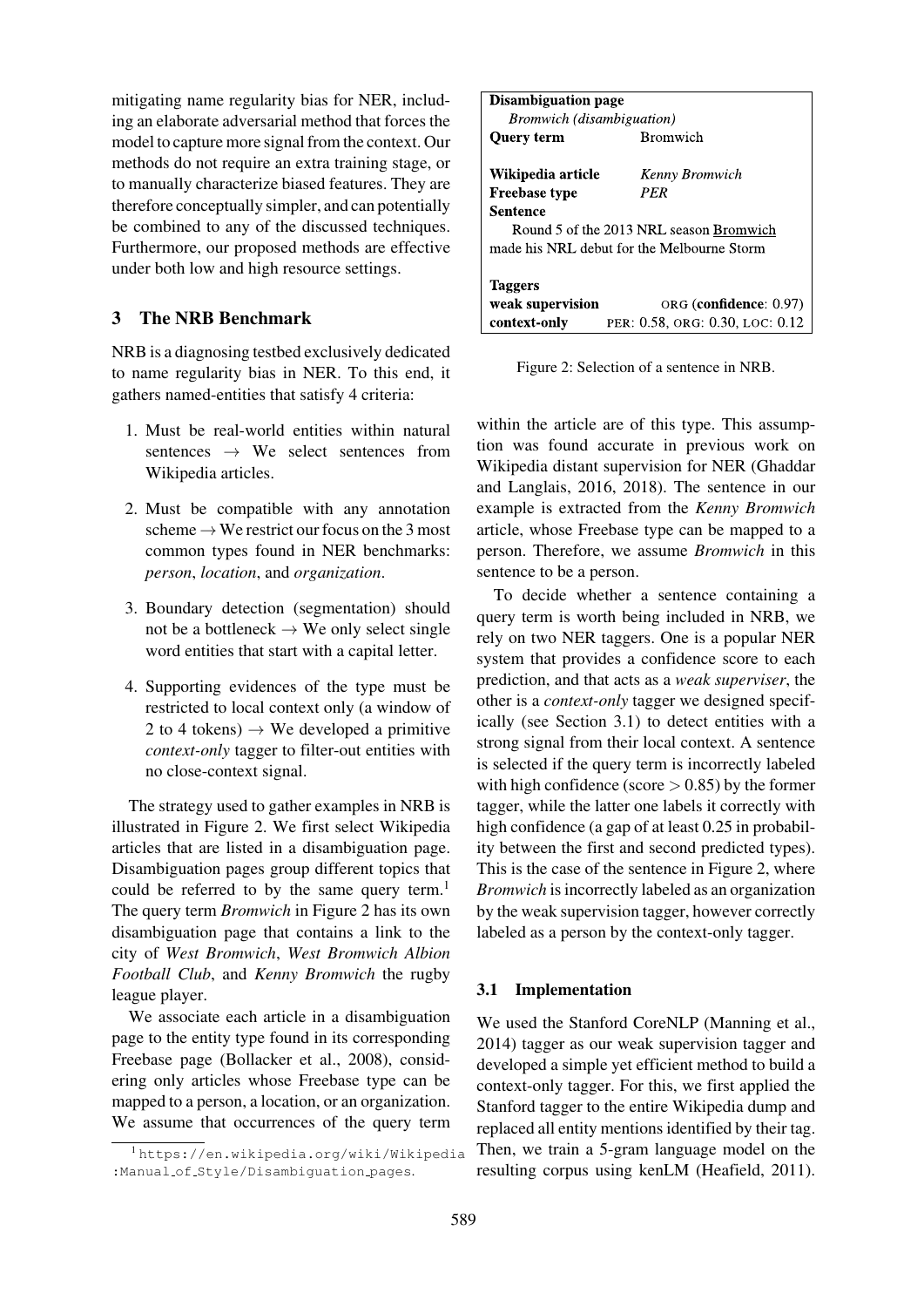mitigating name regularity bias for NER, including an elaborate adversarial method that forces the model to capture more signal from the context. Our methods do not require an extra training stage, or to manually characterize biased features. They are therefore conceptually simpler, and can potentially be combined to any of the discussed techniques. Furthermore, our proposed methods are effective under both low and high resource settings.

# 3 The NRB Benchmark

<span id="page-3-0"></span>NRB is a diagnosing testbed exclusively dedicated to name regularity bias in NER. To this end, it gathers named-entities that satisfy 4 criteria:

- 1. Must be real-world entities within natural sentences  $\rightarrow$  We select sentences from Wikipedia articles.
- 2. Must be compatible with any annotation scheme  $\rightarrow$  We restrict our focus on the 3 most common types found in NER benchmarks: *person*, *location*, and *organization*.
- 3. Boundary detection (segmentation) should not be a bottleneck  $\rightarrow$  We only select single word entities that start with a capital letter.
- 4. Supporting evidences of the type must be restricted to local context only (a window of 2 to 4 tokens)  $\rightarrow$  We developed a primitive *context-only* tagger to filter-out entities with no close-context signal.

The strategy used to gather examples in NRB is illustrated in Figure 2. We first select Wikipedia articles that are listed in a disambiguation page. Disambiguation pages group different topics that could be referred to by the same query term.<sup>1</sup> The query term *[Bromw](#page-3-1)ich* in Figure 2 has its own disambiguation page that contains a link to the city of *West Bromwich*, *West Bromwich Albion Football Club*, and *Kenny [Bromwich](#page-3-1)* the rugb[y](#page-3-2) league player.

We associate each article in a disambiguation page to the entity type found in its corresponding Freebase page (Bollacker et al., 2008), considering only articles whose Freebase type can be mapped to a person, a location, or an organization. We assume tha[t occurrences of](#page-12-8) [the qu](#page-12-8)ery term

| <b>Disambiguation page</b>       |                                            |  |  |  |  |  |  |  |  |  |  |
|----------------------------------|--------------------------------------------|--|--|--|--|--|--|--|--|--|--|
| <i>Bromwich (disambiguation)</i> |                                            |  |  |  |  |  |  |  |  |  |  |
| <b>Ouery term</b>                | <b>Bromwich</b>                            |  |  |  |  |  |  |  |  |  |  |
| Wikipedia article                | Kenny Bromwich                             |  |  |  |  |  |  |  |  |  |  |
| <b>Freebase type</b>             | PER                                        |  |  |  |  |  |  |  |  |  |  |
| Sentence                         |                                            |  |  |  |  |  |  |  |  |  |  |
|                                  | Round 5 of the 2013 NRL season Bromwich    |  |  |  |  |  |  |  |  |  |  |
|                                  | made his NRL debut for the Melbourne Storm |  |  |  |  |  |  |  |  |  |  |
|                                  |                                            |  |  |  |  |  |  |  |  |  |  |
| <b>Taggers</b>                   |                                            |  |  |  |  |  |  |  |  |  |  |
| weak supervision                 | ORG (confidence: 0.97)                     |  |  |  |  |  |  |  |  |  |  |
| context-only                     | PER: 0.58, ORG: 0.30, LOC: 0.12            |  |  |  |  |  |  |  |  |  |  |

Figure 2: Selection of a sentence in NRB.

<span id="page-3-1"></span>within the article are of this type. This assumption was found accurate in previous work on Wikipedia distant supervision for NER (Ghaddar and Langlais, 2016, 2018). The sentence in our example is extracted from the *Kenny Bromwich* article, whose Freebase type can be mapped to a person. Therefore, [we ass](#page-14-4)ume *Bromwich* [in](#page-13-10) [this](#page-13-10) [sentence](#page-13-10) [to](#page-13-10) [be](#page-13-10) [a](#page-14-3) [per](#page-14-3)son.

To decide whether a sentence containing a query term is worth being included in NRB, we rely on two NER taggers. One is a popular NER system that provides a confidence score to each prediction, and that acts as a *weak superviser*, the other is a *context-only* tagger we designed specifically (see Section 3.1) to detect entities with a strong signal from their local context. A sentence is selected if the query term is incorrectly labeled with high confidence (score  $> 0.85$ ) by the former tagger, whi[le](#page-3-3) [the](#page-3-3) [latter](#page-3-3) [o](#page-3-3)ne labels it correctly with high confidence (a gap of at least 0.25 in probability between the first and second predicted types). This is the case of the sentence in Figure 2, where *Bromwich* is incorrectly labeled as an organization by the weak supervision tagger, however correctly labeled as a person by the contex[t-only tag](#page-3-1)ger.

## 3.1 Implementation

<span id="page-3-3"></span>We used the Stanford CoreNLP (Manning et al., 2014) tagger as our weak supervision tagger and developed a simple yet efficient method to build a context-only tagger. For this, we first applied the Stanford tagger to the entire Wiki[pedia](#page-15-10) [dump](#page-15-10) [and](#page-15-10) [repla](#page-15-10)ced all entity mentions identified by their tag. Then, we train a 5-gram language model on the resulting corpus using kenLM (Heafield, 2011).

<span id="page-3-2"></span><sup>1</sup> https://en.wikipedia.org/wiki/Wikipedia :Manual of Style/Disambiguation pages.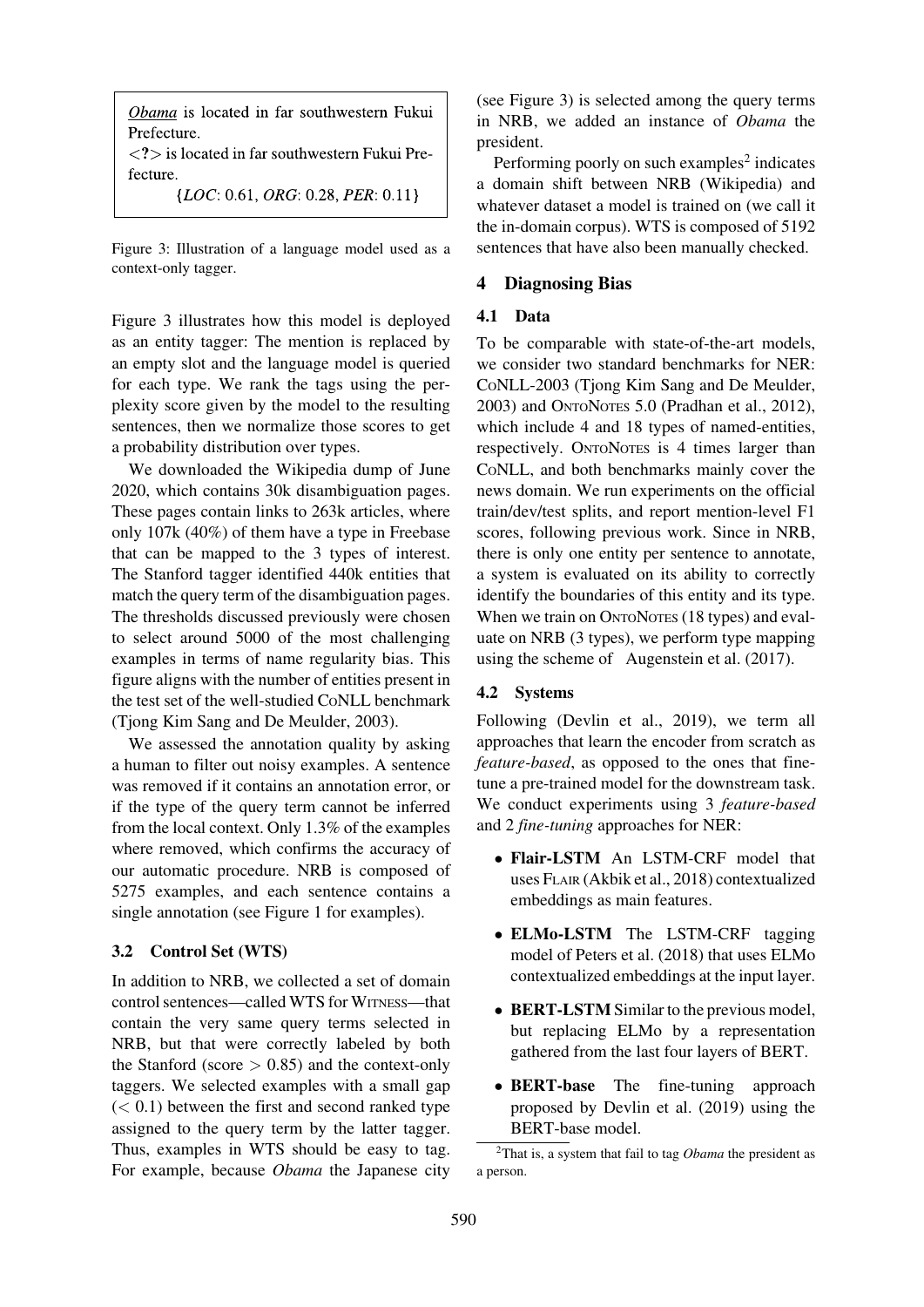Obama is located in far southwestern Fukui Prefecture.

 $\langle$  <?  $>$  is located in far southwestern Fukui Prefecture.

 ${LOC: 0.61, ORG: 0.28, PER: 0.11}$ 

Figure 3: Illustration of a language model used as a context-only tagger.

<span id="page-4-1"></span>Figure 3 illustrates how this model is deployed as an entity tagger: The mention is replaced by an empty slot and the language model is queried for each type. We rank the tags using the per[plexity](#page-4-1) [sc](#page-4-1)ore given by the model to the resulting sentences, then we normalize those scores to get a probability distribution over types.

We downloaded the Wikipedia dump of June 2020, which contains 30k disambiguation pages. These pages contain links to 263k articles, where only 107k (40%) of them have a type in Freebase that can be mapped to the 3 types of interest. The Stanford tagger identified 440k entities that match the query term of the disambiguation pages. The thresholds discussed previously were chosen to select around 5000 of the most challenging examples in terms of name regularity bias. This figure aligns with the number of entities present in the test set of the well-studied CONLL benchmark (Tjong Kim Sang and De Meulder, 2003).

We assessed the annotation quality by asking a human to filter out noisy examples. A sentence [was removed if it contains an annotation](#page-17-8) error, or if the type of the query term cannot be inferred from the local context. Only 1.3% of the examples where removed, which confirms the accuracy of our automatic procedure. NRB is composed of 5275 examples, and each sentence contains a single annotation (see Figure 1 for examples).

# 3.2 Control Set (WTS)

In addition to NRB, [we collecte](#page-1-0)d a set of domain control sentences—called WTS for WITNESS—that contain the very same query terms selected in NRB, but that were correctly labeled by both the Stanford (score  $> 0.85$ ) and the context-only taggers. We selected examples with a small gap  $(< 0.1$ ) between the first and second ranked type assigned to the query term by the latter tagger. Thus, examples in WTS should be easy to tag. For example, because *Obama* the Japanese city (see Figure 3) is selected among the query terms in NRB, we added an instance of *Obama* the president.

Performing poorly on such examples $2$  indicates a d[omain shi](#page-4-1)ft between NRB (Wikipedia) and whatever dataset a model is trained on (we call it the in-domain corpus). WTS is composed of 5192 sentences that have also been manuall[y](#page-4-2) [c](#page-4-2)hecked.

# 4 Diagnosing Bias

# 4.1 Data

<span id="page-4-0"></span>To be comparable with state-of-the-art models, we consider two standard benchmarks for NER: CONLL-2003 (Tjong Kim Sang and De Meulder, 2003) and ONTONOTES 5.0 (Pradhan et al., 2012), which include 4 and 18 types of named-entities, respectively. ONTONOTES is 4 times larger than [CONL](#page-17-8)L, and [both](#page-17-8) [benchmarks](#page-17-8)[mainly](#page-17-8)[cover](#page-17-8)[the](#page-17-8) news domain. We run experiments on the official train/dev/test splits, and report mention-level F1 scores, following previous work. Since in NRB, there is only one entity per sentence to annotate, a system is evaluated on its ability to correctly identify the boundaries of this entity and its type. When we train on ONTONOTES (18 types) and evaluate on NRB (3 types), we perform type mapping using the scheme of Augenstein et al. (2017).

# 4.2 Systems

Following (Devlin et al., 2019), we term all approaches that learn [the](#page-12-4) [encoder](#page-12-4) [from](#page-12-4) [scratc](#page-12-4)h as *feature-based*, as opposed to the ones that finetune a pre-trained model for the downstream task. We conduc[t](#page-13-0) [experiments](#page-13-0) u[sing](#page-13-0) [3](#page-13-0) *feature-based* and 2 *fine-tuning* approaches for NER:

- Flair-LSTM An LSTM-CRF model that uses FLAIR (Akbik et al., 2018) contextualized embeddings as main features.
- ELMo-LSTM The LSTM-CRF tagging model of P[eters et al. \(2018\)](#page-11-3) that uses ELMo contextualized embeddings at the input layer.
- **BERT-LSTM** Similar to the previous model, but repl[acing ELMo by](#page-16-0) a representation gathered from the last four layers of BERT.
- BERT-base The fine-tuning approach proposed by Devlin et al. (2019) using the BERT-base model.

<span id="page-4-2"></span><sup>2</sup>That is, a system that fail to tag *Obama* the president as a person.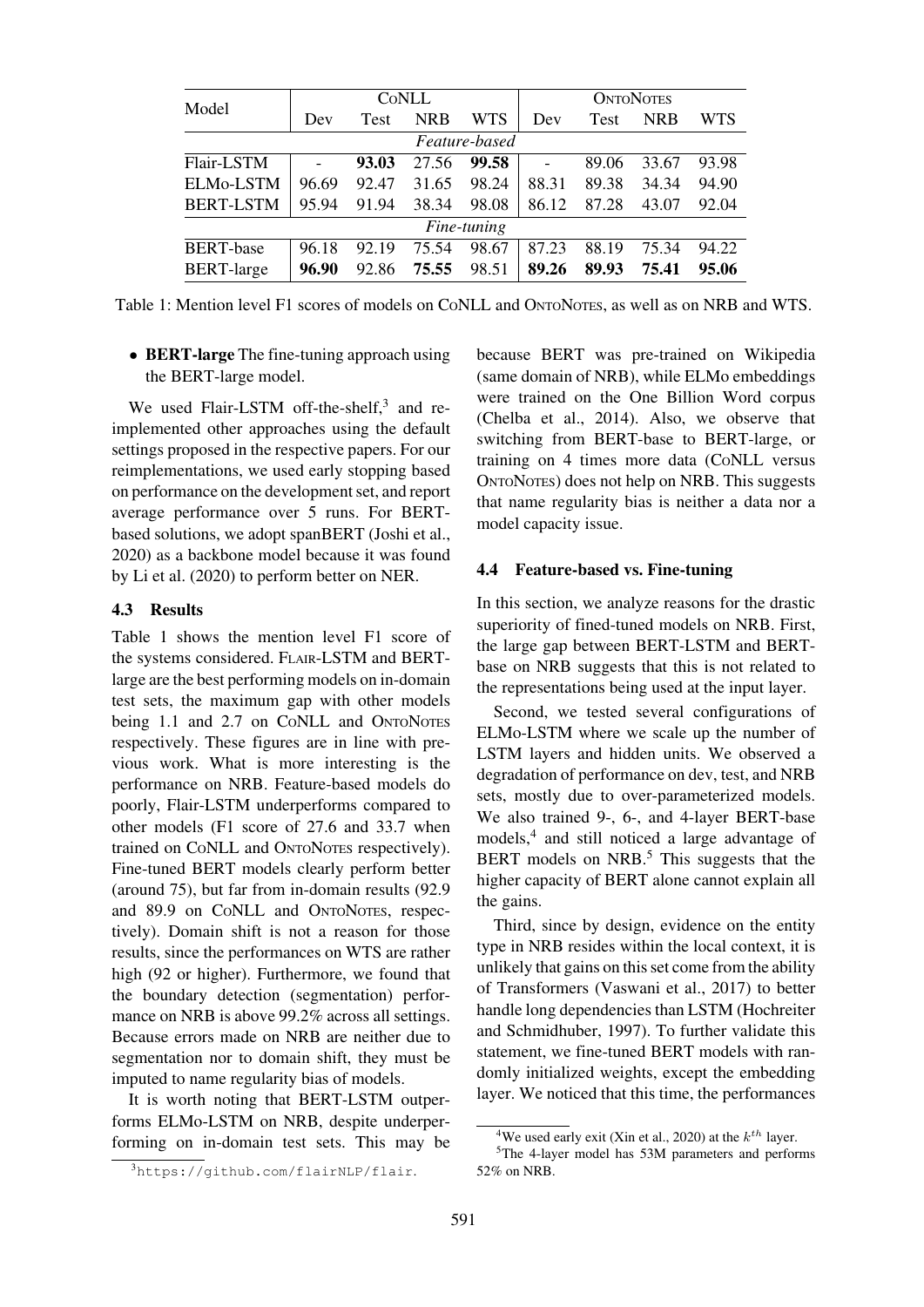| Model                  |       |             | CONLL      |               | <b>ONTONOTES</b>         |       |            |       |  |  |  |
|------------------------|-------|-------------|------------|---------------|--------------------------|-------|------------|-------|--|--|--|
|                        | Dev   | <b>Test</b> | <b>NRB</b> | <b>WTS</b>    | Dev                      | Test  | <b>NRB</b> | WTS   |  |  |  |
|                        |       |             |            | Feature-based |                          |       |            |       |  |  |  |
| Flair-LSTM             | ۰     | 93.03       | 27.56      | 99.58         | $\overline{\phantom{0}}$ | 89.06 | 33.67      | 93.98 |  |  |  |
| ELM <sub>0</sub> -LSTM | 96.69 | 92.47       | 31.65      | 98.24         | 88.31                    | 89.38 | 34.34      | 94.90 |  |  |  |
| <b>BERT-LSTM</b>       | 95.94 | 91.94       | 38.34      | 98.08         | 86.12                    | 87.28 | 43.07      | 92.04 |  |  |  |
|                        |       |             |            | Fine-tuning   |                          |       |            |       |  |  |  |
| <b>BERT-base</b>       | 96.18 | 92.19       | 75.54      | 98.67         | 87.23                    | 88.19 | 75.34      | 94.22 |  |  |  |
| <b>BERT-large</b>      | 96.90 | 92.86       | 75.55      | 98.51         | 89.26                    | 89.93 | 75.41      | 95.06 |  |  |  |

Table 1: Mention level F1 scores of models on CONLL and ONTONOTES, as well as on NRB and WTS.

<span id="page-5-1"></span>• BERT-large The fine-tuning approach using the BERT-large model.

We used Flair-LSTM off-the-shelf, $3$  and reimplemented other approaches using the default settings proposed in the respective papers. For our reimplementations, we used early stopping based on performance on the development set, [a](#page-5-0)nd report average performance over 5 runs. For BERTbased solutions, we adopt spanBERT (Joshi et al., 2020) as a backbone model because it was found by Li et al. (2020) to perform better on NER.

#### 4.3 Results

[Table](#page-14-5) 1 shows the mention level F1 score of th[e](#page-14-6) [systems](#page-14-6) [consi](#page-14-6)dered. FLAIR-LSTM and BERTlarge are the best performing models on in-domain test sets, the maximum gap with other models [being](#page-5-1) [1.](#page-5-1)1 and 2.7 on CoNLL and ONTONOTES respectively. These figures are in line with previous work. What is more interesting is the performance on NRB. Feature-based models do poorly, Flair-LSTM underperforms compared to other models (F1 score of 27.6 and 33.7 when trained on CONLL and ONTONOTES respectively). Fine-tuned BERT models clearly perform better (around 75), but far from in-domain results (92.9 and 89.9 on CONLL and ONTONOTES, respectively). Domain shift is not a reason for those results, since the performances on WTS are rather high (92 or higher). Furthermore, we found that the boundary detection (segmentation) performance on NRB is above 99.2% across all settings. Because errors made on NRB are neither due to segmentation nor to domain shift, they must be imputed to name regularity bias of models.

It is worth noting that BERT-LSTM outperforms ELMo-LSTM on NRB, despite underperforming on in-domain test sets. This may be because BERT was pre-trained on Wikipedia (same domain of NRB), while ELMo embeddings were trained on the One Billion Word corpus (Chelba et al., 2014). Also, we observe that switching from BERT-base to BERT-large, or training on 4 times more data (CONLL versus ONTONOTES) does not help on NRB. This suggests [that](#page-12-9) [name](#page-12-9) [regu](#page-12-9)l[arity](#page-12-9) [b](#page-12-9)ias is neither a data nor a model capacity issue.

#### 4.4 Feature-based vs. Fine-tuning

In this section, we analyze reasons for the drastic superiority of fined-tuned models on NRB. First, the large gap between BERT-LSTM and BERTbase on NRB suggests that this is not related to the representations being used at the input layer.

Second, we tested several configurations of ELMo-LSTM where we scale up the number of LSTM layers and hidden units. We observed a degradation of performance on dev, test, and NRB sets, mostly due to over-parameterized models. We also trained 9-, 6-, and 4-layer BERT-base models,<sup>4</sup> and still noticed a large advantage of BERT models on NRB.<sup>5</sup> This suggests that the higher capacity of BERT alone cannot explain all the gai[ns](#page-5-2).

Third, since by desig[n,](#page-5-3) evidence on the entity type in NRB resides within the local context, it is unlikely that gains on this set come from the ability of Transformers (Vaswani et al., 2017) to better handle long dependencies than LSTM (Hochreiter and Schmidhuber, 1997). To further validate this statement, we fine-tuned BERT models with randomly initialized [weights,](#page-17-9) [excep](#page-17-9)t [the](#page-17-9) [e](#page-17-9)mbedding [layer. We noticed t](#page-14-7)[hat th](#page-14-8)is time, the pe[rformances](#page-14-7)

<span id="page-5-0"></span><sup>3</sup>https://github.com/flairNLP/flair.

<sup>&</sup>lt;sup>4</sup>We used early exit (Xin et al., 2020) at the  $k^{th}$  layer.

<span id="page-5-3"></span><span id="page-5-2"></span><sup>5</sup>The 4-layer model has 53M parameters and performs 52% on NRB.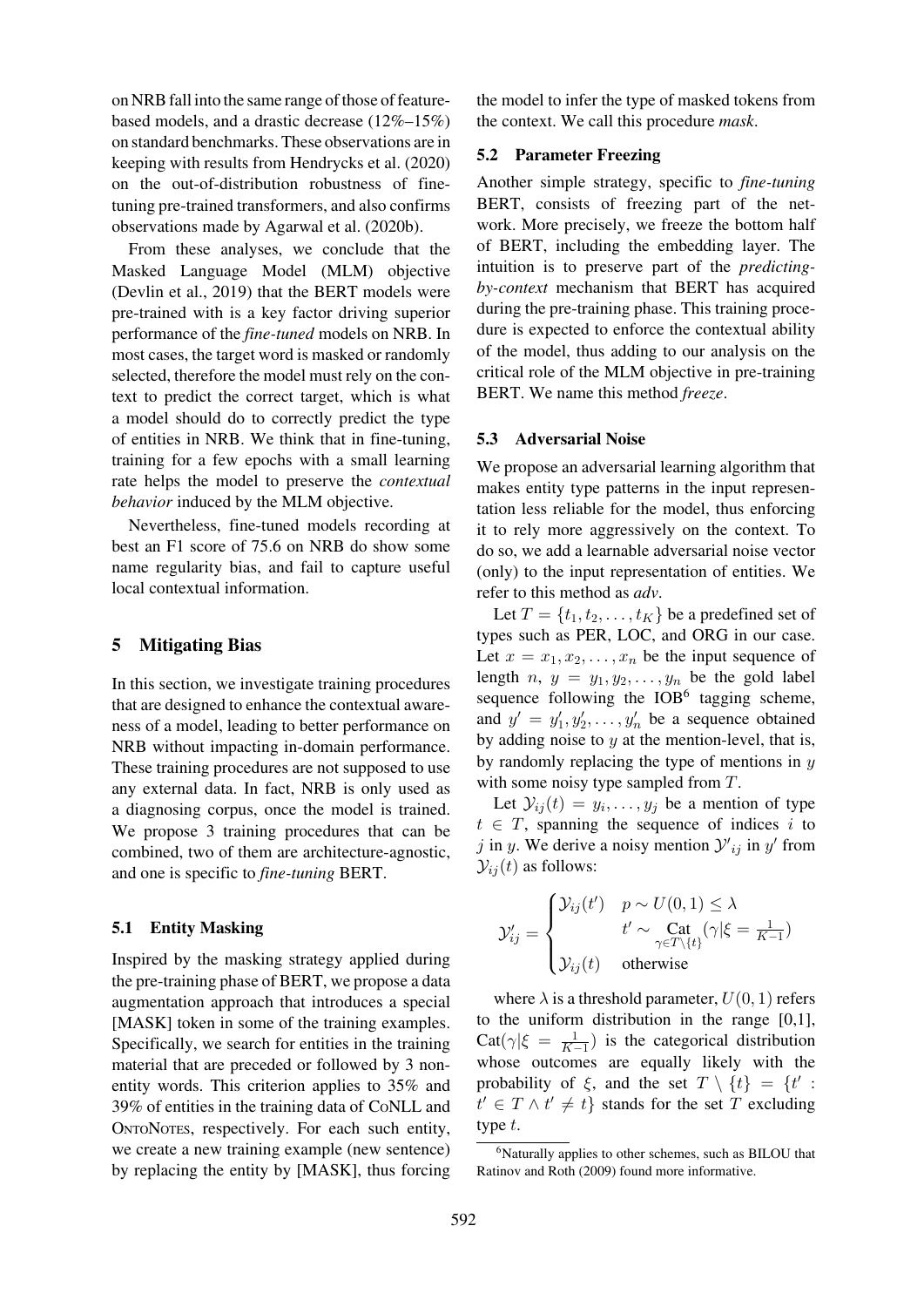on NRB fall into the same range of those of featurebased models, and a drastic decrease (12%–15%) on standard benchmarks. These observations are in keeping with results from Hendrycks et al. (2020) on the out-of-distribution robustness of finetuning pre-trained transformers, and also confirms observations made by Ag[arwal et al. \(2020](#page-14-9)b).

From these analyses, we conclude th[at](#page-14-9) [the](#page-14-9) Masked Language Model (MLM) objective (Devlin et al., 2019) t[hat the BERT](#page-11-1) [models](#page-11-1) were pre-trained with is a key factor driving superior performance of the *fine-tuned* models on NRB. In most cases, the target word is masked or randomly [selected,](#page-13-0) [therefore](#page-13-0) [th](#page-13-0)e model must rely on the context to predict the correct target, which is what a model should do to correctly predict the type of entities in NRB. We think that in fine-tuning, training for a few epochs with a small learning rate helps the model to preserve the *contextual behavior* induced by the MLM objective.

Nevertheless, fine-tuned models recording at best an F1 score of 75.6 on NRB do show some name regularity bias, and fail to capture useful local contextual information.

## 5 Mitigating Bias

<span id="page-6-0"></span>In this section, we investigate training procedures that are designed to enhance the contextual awareness of a model, leading to better performance on NRB without impacting in-domain performance. These training procedures are not supposed to use any external data. In fact, NRB is only used as a diagnosing corpus, once the model is trained. We propose 3 training procedures that can be combined, two of them are architecture-agnostic, and one is specific to *fine-tuning* BERT.

## 5.1 Entity Masking

Inspired by the masking strategy applied during the pre-training phase of BERT, we propose a data augmentation approach that introduces a special [MASK] token in some of the training examples. Specifically, we search for entities in the training material that are preceded or followed by 3 nonentity words. This criterion applies to 35% and 39% of entities in the training data of CONLL and ONTONOTES, respectively. For each such entity, we create a new training example (new sentence) by replacing the entity by [MASK], thus forcing the model to infer the type of masked tokens from the context. We call this procedure *mask*.

#### 5.2 Parameter Freezing

Another simple strategy, specific to *fine-tuning* BERT, consists of freezing part of the network. More precisely, we freeze the bottom half of BERT, including the embedding layer. The intuition is to preserve part of the *predictingby-context* mechanism that BERT has acquired during the pre-training phase. This training procedure is expected to enforce the contextual ability of the model, thus adding to our analysis on the critical role of the MLM objective in pre-training BERT. We name this method *freeze*.

#### 5.3 Adversarial Noise

We propose an adversarial learning algorithm that makes entity type patterns in the input representation less reliable for the model, thus enforcing it to rely more aggressively on the context. To do so, we add a learnable adversarial noise vector (only) to the input representation of entities. We refer to this method as *adv*.

Let  $T = \{t_1, t_2, \ldots, t_K\}$  be a predefined set of types such as PER, LOC, and ORG in our case. Let  $x = x_1, x_2, \ldots, x_n$  be the input sequence of length  $n, y = y_1, y_2, \ldots, y_n$  be the gold label sequence following the  $IOB<sup>6</sup>$  tagging scheme, and  $y' = y'_1, y'_2, \dots, y'_n$  be a sequence obtained by adding noise to  $y$  at the mention-level, that is, by randomly replacing the type of mentions in  $y$ with some noisy type sample[d](#page-6-1) [f](#page-6-1)rom  $T$ .

Let  $\mathcal{Y}_{ij}(t) = y_i, \ldots, y_j$  be a mention of type  $t \in T$ , spanning the sequence of indices i to j in y. We derive a noisy mention  $y_{ij}'$  in y' from  $\mathcal{Y}_{ij}(t)$  as follows:

$$
\mathcal{Y}'_{ij} = \begin{cases} \mathcal{Y}_{ij}(t') & p \sim U(0,1) \le \lambda \\ t' \sim \text{Cat}_{\gamma \in T \setminus \{t\}}(\gamma | \xi = \frac{1}{K-1}) \\ \mathcal{Y}_{ij}(t) & \text{otherwise} \end{cases}
$$

where  $\lambda$  is a threshold parameter,  $U(0, 1)$  refers to the uniform distribution in the range [0,1],  $\text{Cat}(\gamma | \xi = \frac{1}{K-1})$  is the categorical distribution whose outcomes are equally likely with the probability of  $\xi$ , and the set  $T \setminus \{t\} = \{t' :$  $t' \in T \wedge t' \neq t$  stands for the set T excluding type  $t$ .

<span id="page-6-1"></span><sup>&</sup>lt;sup>6</sup>Naturally applies to other schemes, such as BILOU that Ratinov and Roth (2009) found more informative.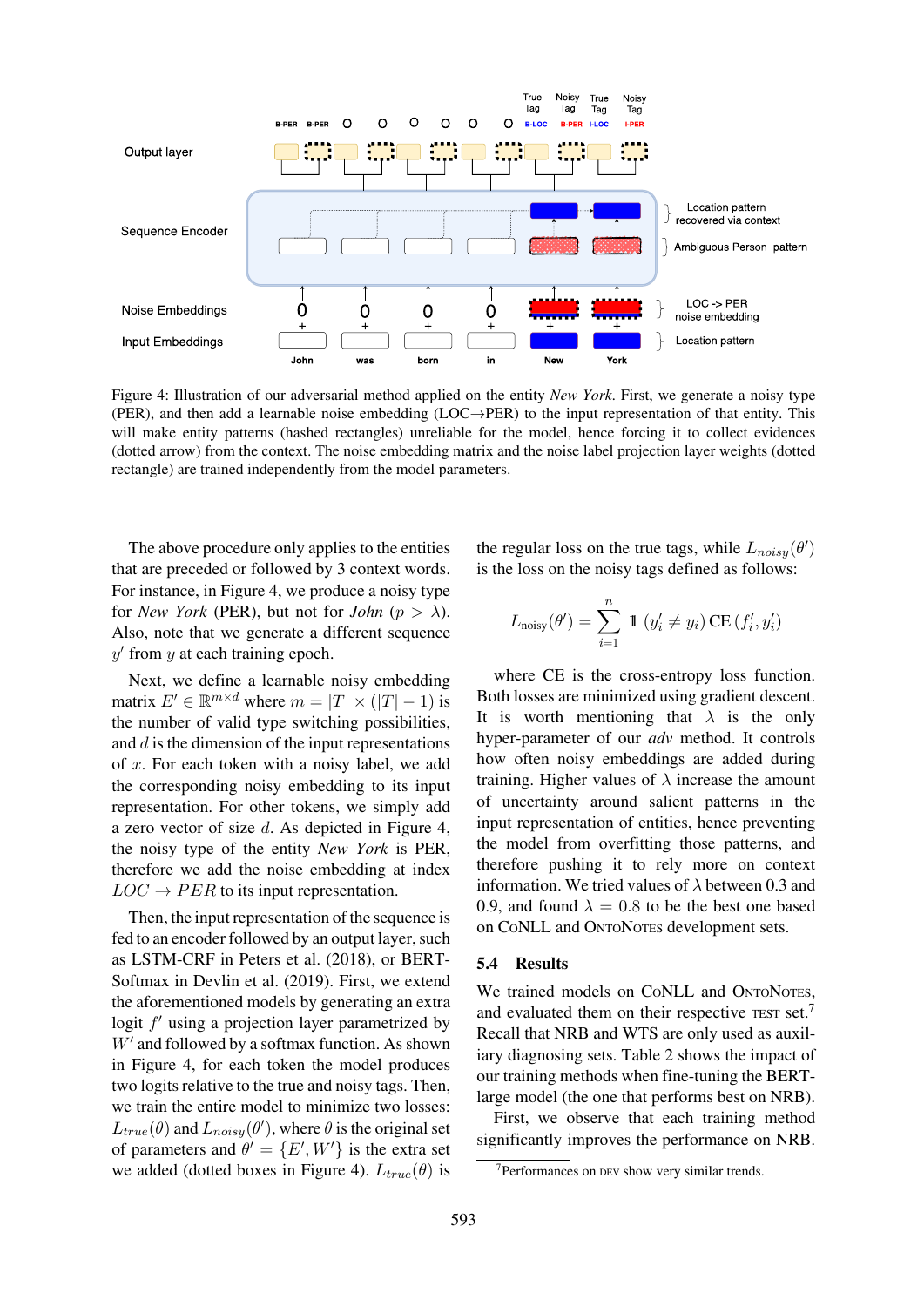

Figure 4: Illustration of our adversarial method applied on the entity *New York*. First, we generate a noisy type (PER), and then add a learnable noise embedding ( $LOC \rightarrow PER$ ) to the input representation of that entity. This will make entity patterns (hashed rectangles) unreliable for the model, hence forcing it to collect evidences (dotted arrow) from the context. The noise embedding matrix and the noise label projection layer weights (dotted rectangle) are trained independently from the model parameters.

<span id="page-7-0"></span>The above procedure only applies to the entities that are preceded or followed by 3 context words. For instance, in Figure 4, we produce a noisy type for *New York* (PER), but not for *John* ( $p > \lambda$ ). Also, note that we generate a different sequence  $y'$  from  $y$  at each train[ing](#page-7-0) epoch.

Next, we de[fine](#page-7-0) [a](#page-7-0) [le](#page-7-0)arnable noisy embedding matrix  $E' \in \mathbb{R}^{m \times d}$  where  $m = |T| \times (|T| - 1)$  is the number of valid type switching possibilities, and  $d$  is the dimension of the input representations of x. For each token with a noisy label, we add the corresponding noisy embedding to its input representation. For other tokens, we simply add a zero vector of size d. As depicted in Figure 4, the noisy type of the entity *New York* is PER, therefore we add the noise embedding at index  $LOC \rightarrow PER$  to its input representation.

Then, the input representation of the s[equence](#page-7-0) [is](#page-7-0) fed to an encoder followed by an output layer, such as LSTM-CRF in Peters et al. (2018), or BERT-Softmax in Devlin et al. (2019). First, we extend the aforementioned models by generating an extra logit  $f'$  using a p[rojection layer para](#page-16-0)metrized by  $W'$  and foll[owed by a sof](#page-13-0)t[max f](#page-13-0)unction. As shown in Figure 4, for each token the model produces two logits relative to the true and noisy tags. Then, we train the entire model to minimize two losses:  $L_{true}(\theta)$  and  $L_{noisy}(\theta')$ , where  $\theta$  is the original set of [paramete](#page-7-0)rs and  $\theta' = \{E', W'\}$  is the extra set we added (dotted boxes in Figure 4).  $L_{true}(\theta)$  is

the regular loss on the true tags, while  $L_{noisy}(\theta')$ is the loss on the noisy tags defined as follows:

$$
L_{\text{noisy}}(\theta') = \sum_{i=1}^{n} \mathbb{1} \left( y'_i \neq y_i \right) \text{CE} \left( f'_i, y'_i \right)
$$

where CE is the cross-entropy loss function. Both losses are minimized using gradient descent. It is worth mentioning that  $\lambda$  is the only hyper-parameter of our *adv* method. It controls how often noisy embeddings are added during training. Higher values of  $\lambda$  increase the amount of uncertainty around salient patterns in the input representation of entities, hence preventing the model from overfitting those patterns, and therefore pushing it to rely more on context information. We tried values of  $\lambda$  between 0.3 and 0.9, and found  $\lambda = 0.8$  to be the best one based on CONLL and ONTONOTES development sets.

#### 5.4 Results

We trained models on CONLL and ONTONOTES, and evaluated them on their respective TEST set.<sup>7</sup> Recall that NRB and WTS are only used as auxiliary diagnosing sets. Table 2 shows the impact of our training methods when fine-tuning the BERTlarge model (the one that performs best on NRB[\).](#page-7-1)

First, we observe that each training method significantly improv[es](#page-8-1) [the](#page-8-1) [pe](#page-8-1)rformance on NRB.

<span id="page-7-1"></span><sup>7</sup>Performances on DEV show very similar trends.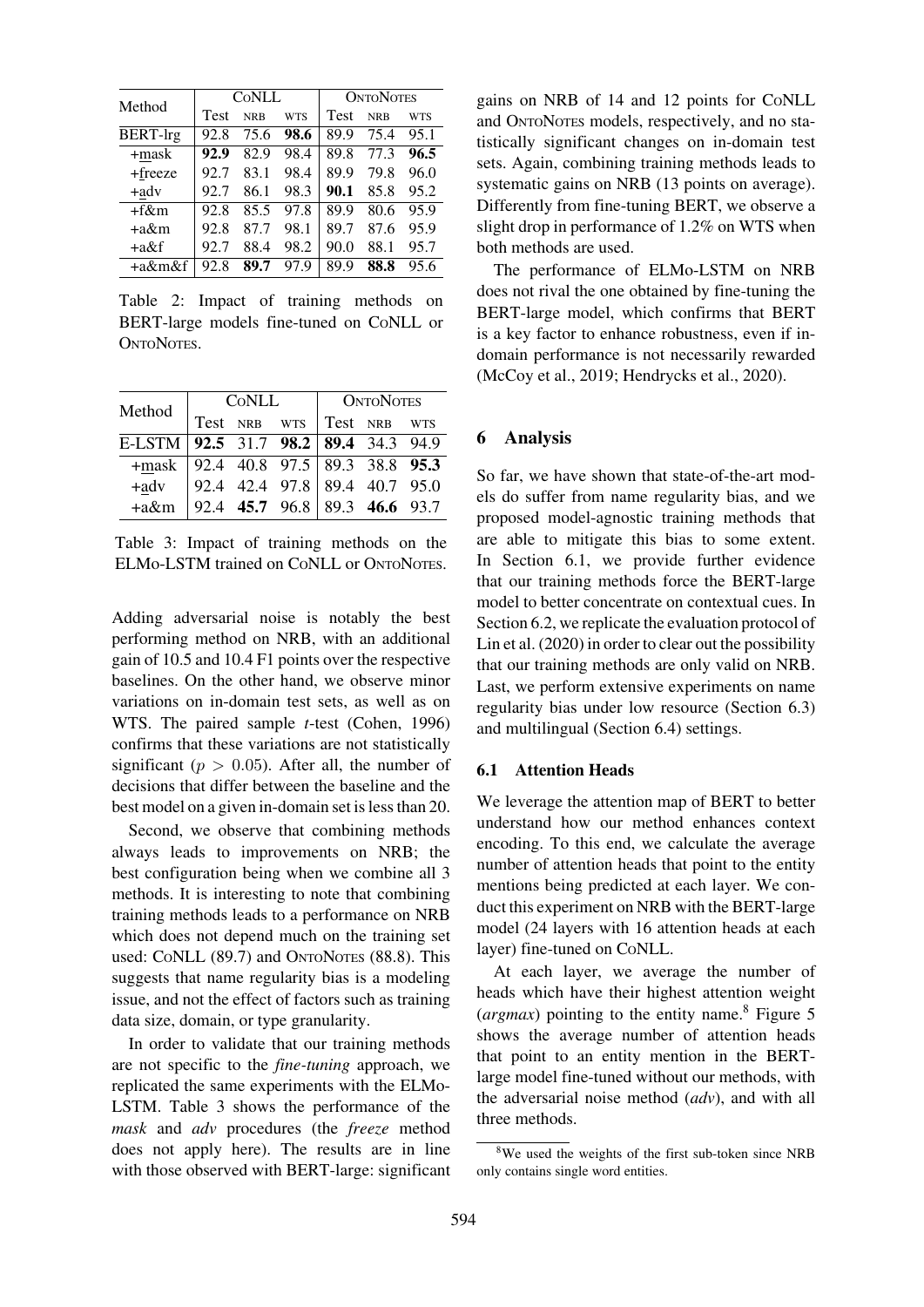| Method          |      | CONLL      |            | <b>ONTONOTES</b> |            |            |  |  |  |  |
|-----------------|------|------------|------------|------------------|------------|------------|--|--|--|--|
|                 | Test | <b>NRB</b> | <b>WTS</b> | <b>Test</b>      | <b>NRB</b> | <b>WTS</b> |  |  |  |  |
| <b>BERT-lrg</b> | 92.8 | 75.6       | 98.6       | 89.9             | 75.4       | 95.1       |  |  |  |  |
| +mask           | 92.9 | 82.9       | 98.4       | 89.8             | 77.3       | 96.5       |  |  |  |  |
| +freeze         | 92.7 | 83.1       | 98.4       | 89.9             | 79.8       | 96.0       |  |  |  |  |
| +adv            | 92.7 | 86.1       | 98.3       | 90.1             | 85.8       | 95.2       |  |  |  |  |
| $+f\&m$         | 92.8 | 85.5       | 97.8       | 89.9             | 80.6       | 95.9       |  |  |  |  |
| +a&m            | 92.8 | 87.7       | 98.1       | 89.7             | 87.6       | 95.9       |  |  |  |  |
| +a&f            | 92.7 | 88.4       | 98.2       | 90.0             | 88.1       | 95.7       |  |  |  |  |
| +a&m&f          | 92.8 | 89.7       | 97.9       | 89.9             | 88.8       | 95.6       |  |  |  |  |

Table 2: Impact of training methods on BERT-large models fine-tuned on CONLL or ONTONOTES.

<span id="page-8-1"></span>

| Method                                     | CONLL |                               | <b>ONTONOTES</b> |  |  |  |  |  |
|--------------------------------------------|-------|-------------------------------|------------------|--|--|--|--|--|
|                                            |       | Test NRB WTS Test NRB WTS     |                  |  |  |  |  |  |
| E-LSTM   92.5 31.7 98.2   89.4 34.3 94.9   |       |                               |                  |  |  |  |  |  |
| $+m$ ask   92.4 40.8 97.5   89.3 38.8 95.3 |       |                               |                  |  |  |  |  |  |
| $+adv$                                     |       | 92.4 42.4 97.8 89.4 40.7 95.0 |                  |  |  |  |  |  |
| $+a\&m$                                    |       |                               |                  |  |  |  |  |  |

Table 3: Impact of training methods on the ELMo-LSTM trained on CONLL or ONTONOTES.

<span id="page-8-2"></span>Adding adversarial noise is notably the best performing method on NRB, with an additional gain of 10.5 and 10.4 F1 points over the respective baselines. On the other hand, we observe minor variations on in-domain test sets, as well as on WTS. The paired sample *t*-test (Cohen, 1996) confirms that these variations are not statistically significant ( $p > 0.05$ ). After all, the number of decisions that differ between the baseline and the best model on a given in-domain set [is](#page-13-11) [less](#page-13-11) [than](#page-13-11) [20](#page-13-11).

Second, we observe that combining methods always leads to improvements on NRB; the best configuration being when we combine all 3 methods. It is interesting to note that combining training methods leads to a performance on NRB which does not depend much on the training set used: CONLL (89.7) and ONTONOTES (88.8). This suggests that name regularity bias is a modeling issue, and not the effect of factors such as training data size, domain, or type granularity.

In order to validate that our training methods are not specific to the *fine-tuning* approach, we replicated the same experiments with the ELMo-LSTM. Table 3 shows the performance of the *mask* and *adv* procedures (the *freeze* method does not apply here). The results are in line with th[ose observ](#page-8-2)ed with BERT-large: significant gains on NRB of 14 and 12 points for CONLL and ONTONOTES models, respectively, and no statistically significant changes on in-domain test sets. Again, combining training methods leads to systematic gains on NRB (13 points on average). Differently from fine-tuning BERT, we observe a slight drop in performance of 1.2% on WTS when both methods are used.

The performance of ELMo-LSTM on NRB does not rival the one obtained by fine-tuning the BERT-large model, which confirms that BERT is a key factor to enhance robustness, even if indomain performance is not necessarily rewarded (McCoy et al., 2019; Hendrycks et al., 2020).

## [6 Analysis](#page-15-1)

<span id="page-8-0"></span>So far, we have shown that state-of-the-art models do suffer from name regularity bias, and we proposed model-agnostic training methods that are able to mitigate this bias to some extent. In Section 6.1, we provide further evidence that our training methods force the BERT-large model to better concentrate on contextual cues. In Section 6.2, we replicate the evaluation protocol of Lin [et](#page-8-3) [al.](#page-8-3) [\(2020\)](#page-8-3) [i](#page-8-3)n order to clear out the possibility that our training methods are only valid on NRB. Last, we perform extensive experiments on name [regularity](#page-9-0) [b](#page-9-0)ias under low resource (Section 6.3) [and](#page-15-2) [mult](#page-15-2)i[lingua](#page-15-2)l (Section 6.4) settings.

#### 6.1 Attention Heads

<span id="page-8-3"></span>We leverage the [attention ma](#page-9-1)p of BERT to better understand how our method enhances context encoding. To this end, we calculate the average number of attention heads that point to the entity mentions being predicted at each layer. We conduct this experiment on NRB with the BERT-large model (24 layers with 16 attention heads at each layer) fine-tuned on CONLL.

At each layer, we average the number of heads which have their highest attention weight  $(\text{argmax})$  pointing to the entity name.<sup>8</sup> Figure 5 shows the average number of attention heads that point to an entity mention in the BERTlarge model fine-tuned without our methods, with the adversarial noise method (*adv*), a[nd](#page-8-4) [with](#page-9-2) [all](#page-9-2) three methods.

<span id="page-8-4"></span><sup>8</sup>We used the weights of the first sub-token since NRB only contains single word entities.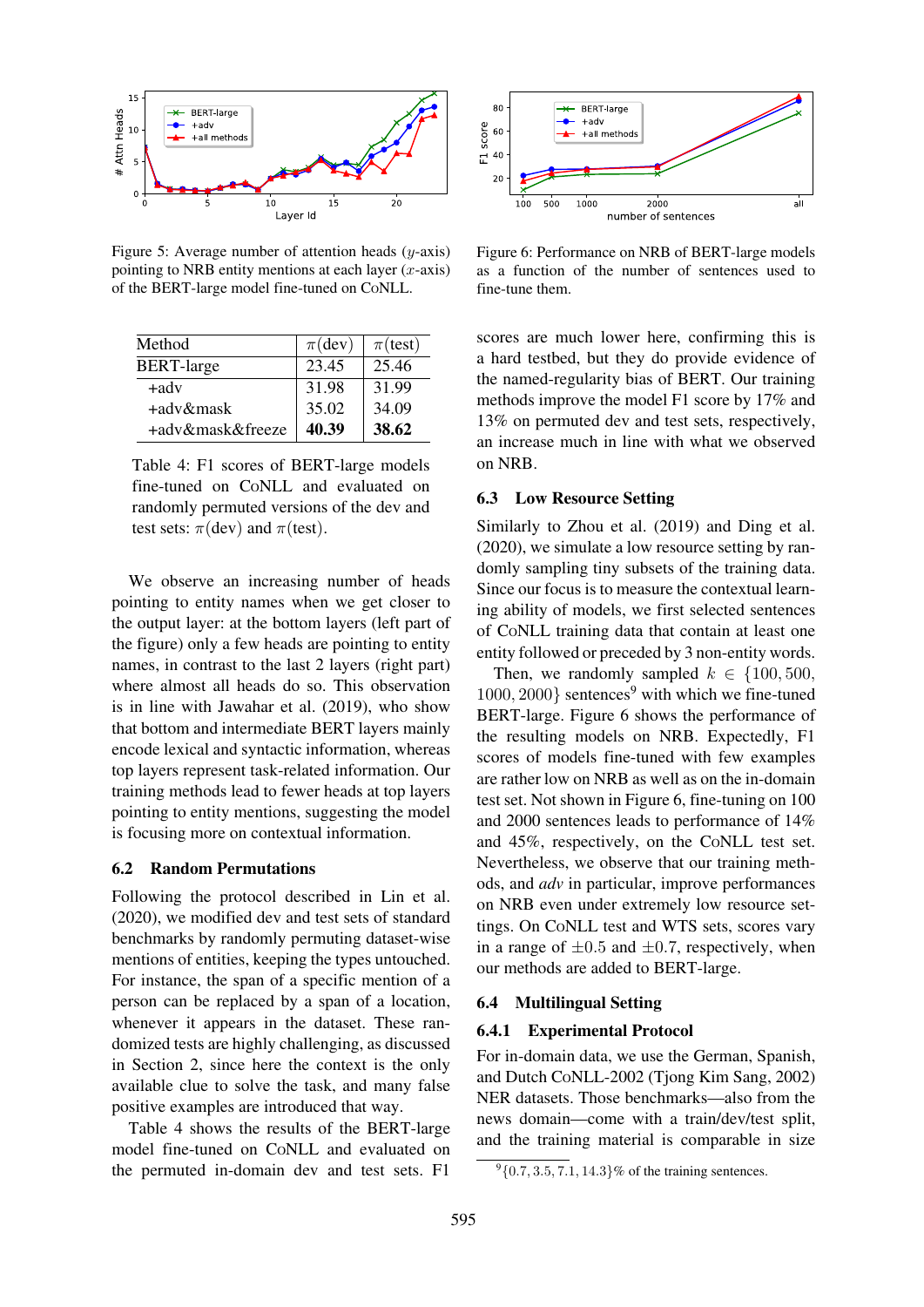

Figure 5: Average number of attention heads  $(y\text{-axis})$ pointing to NRB entity mentions at each layer  $(x\text{-axis})$ of the BERT-large model fine-tuned on CONLL.

<span id="page-9-2"></span>

| Method            | $\pi$ (dev) | $\pi$ (test) |
|-------------------|-------------|--------------|
| <b>BERT-large</b> | 23.45       | 25.46        |
| $+$ adv           | 31.98       | 31.99        |
| +adv&mask         | 35.02       | 34.09        |
| +adv&mask&freeze  | 40.39       | 38.62        |

Table 4: F1 scores of BERT-large models fine-tuned on CONLL and evaluated on randomly permuted versions of the dev and test sets:  $\pi$ (dev) and  $\pi$ (test).

We observe an increasing number of heads pointing to entity names when we get closer to the output layer: at the bottom layers (left part of the figure) only a few heads are pointing to entity names, in contrast to the last 2 layers (right part) where almost all heads do so. This observation is in line with Jawahar et al. (2019), who show that bottom and intermediate BERT layers mainly encode lexical and syntactic information, whereas top layers represent task-related information. Our training metho[ds](#page-14-10) [lead](#page-14-10) [to](#page-14-10) [fewer](#page-14-10) [heads](#page-14-10) at top layers pointing to entity mentions, suggesting the model is focusing more on contextual information.

#### 6.2 Random Permutations

<span id="page-9-0"></span>Following the protocol described in Lin et al. (2020), we modified dev and test sets of standard benchmarks by randomly permuting dataset-wise mentions of entities, keeping the types untouched. For instance, the span of a specific m[ention](#page-15-2) [of](#page-15-2) [a](#page-15-2) [person](#page-15-2) can be replaced by a span of a location, whenever it appears in the dataset. These randomized tests are highly challenging, as discussed in Section 2, since here the context is the only available clue to solve the task, and many false positive examples are introduced that way.

Table 4 shows the results of the BERT-large m[odel](#page-1-1) [fine-tu](#page-1-1)ned on CONLL and evaluated on the permuted in-domain dev and test sets. F1



Figure 6: Performance on NRB of BERT-large models as a function of the number of sentences used to fine-tune them.

<span id="page-9-4"></span>scores are much lower here, confirming this is a hard testbed, but they do provide evidence of the named-regularity bias of BERT. Our training methods improve the model F1 score by 17% and 13% on permuted dev and test sets, respectively, an increase much in line with what we observed on NRB.

### 6.3 Low Resource Setting

Similarly to Zhou et al. (2019) and Ding et al. (2020), we simulate a low resource setting by randomly sampling tiny subsets of the training data. Since our focus is to measure the contextual learning ability o[f](#page-18-4) [models,](#page-18-4) [we](#page-18-4) [first](#page-18-4) [s](#page-18-4)electe[d](#page-13-12) [sentences](#page-13-12) [of](#page-13-12) [CO](#page-13-12)NLL training data that contain at least one entity followed or preceded by 3 non-entity words.

Then, we randomly sampled  $k \in \{100, 500, \dots\}$  $1000, 2000$ } sentences<sup>9</sup> with which we fine-tuned BERT-large. Figure 6 shows the performance of the resulting models on NRB. Expectedly, F1 scores of models fine-tuned with few examples are rather low on NR[B](#page-9-3) [a](#page-9-3)s well as on the in-domain test set. Not s[hown](#page-9-4) [in](#page-9-4) [F](#page-9-4)igure 6, fine-tuning on 100 and 2000 sentences leads to performance of 14% and 45%, respectively, on the CONLL test set. Nevertheless, we observe that our training methods, and *adv* in parti[cular,](#page-9-4) [imp](#page-9-4)rove performances on NRB even under extremely low resource settings. On CONLL test and WTS sets, scores vary in a range of  $\pm 0.5$  and  $\pm 0.7$ , respectively, when our methods are added to BERT-large.

#### 6.4 Multilingual Setting

#### 6.4.1 Experimental Protocol

<span id="page-9-1"></span>For in-domain data, we use the German, Spanish, and Dutch CONLL-2002 (Tjong Kim Sang, 2002) NER datasets. Those benchmarks—also from the news domain—come with a train/dev/test split, and the training materia[l is comparable](#page-17-10) i[n size](#page-17-10)

<span id="page-9-3"></span> $9\{0.7, 3.5, 7.1, 14.3\}$ % of the training sentences.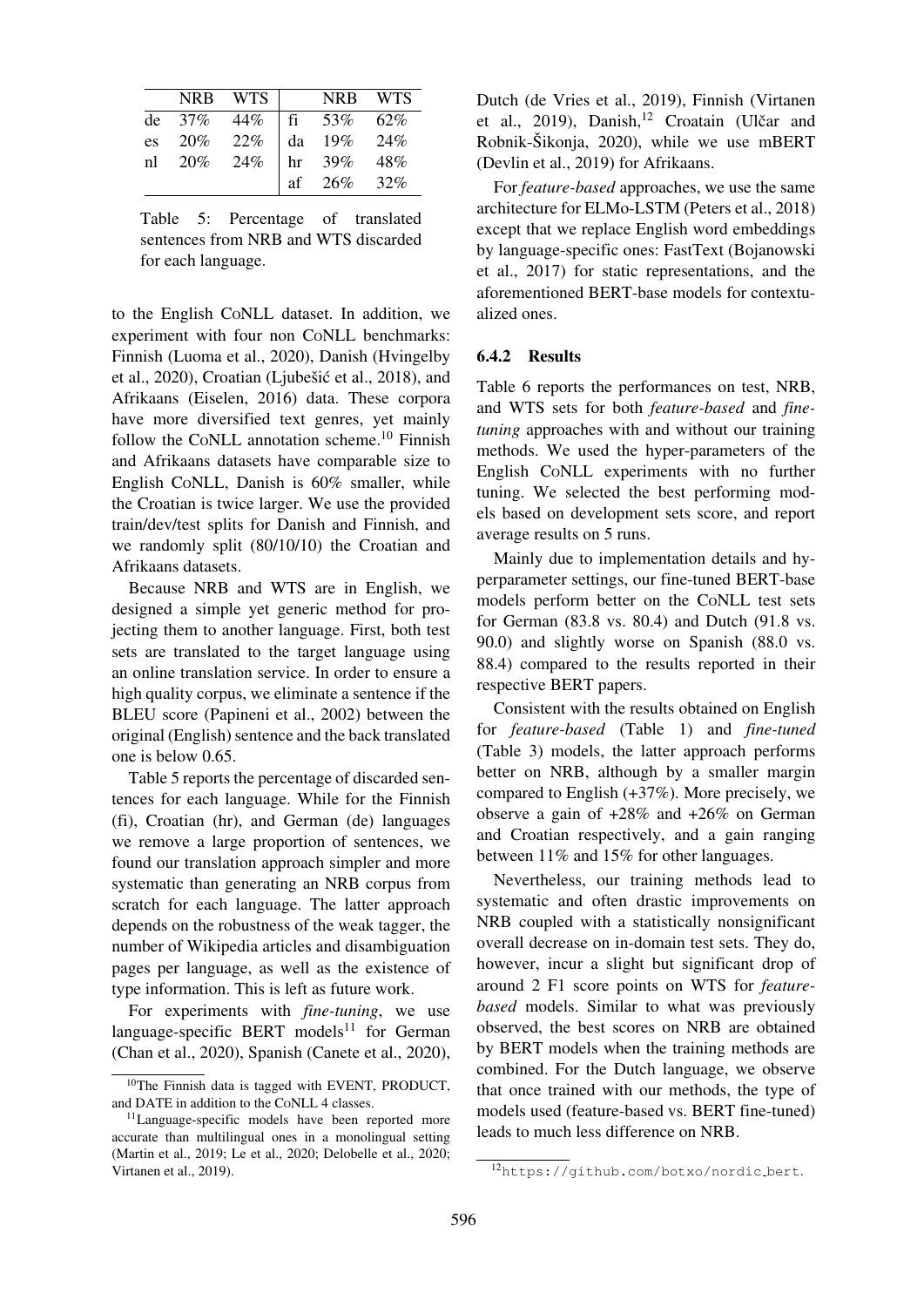|    | <b>NRB</b> | WTS |    | <b>NRB</b> | <b>WTS</b> |
|----|------------|-----|----|------------|------------|
| de | $37\%$     | 44% | fi | 53%        | 62%        |
| es | 20%        | 22% | da | 19%        | 24%        |
| nl | 20%        | 24% | hr | 39%        | 48%        |
|    |            |     | af | 26%        | 32%        |

Table 5: Percentage of translated sentences from NRB and WTS discarded for each language.

<span id="page-10-1"></span>to the English CONLL dataset. In addition, we experiment with four non CONLL benchmarks: Finnish (Luoma et al., 2020), Danish (Hvingelby et al., 2020), Croatian (Ljubešić et al., 2018), and Afrikaans (Eiselen, 2016) data. These corpora have more diversified text genres, yet mainly follow t[he](#page-15-11) CoNLL [annotatio](#page-15-11)n scheme.<sup>10</sup> Finnish and [Afrikaa](#page-14-11)ns dataset[s](#page-15-12) [have](#page-15-12) [comparable](#page-15-12) [si](#page-15-12)ze to English CO[NLL,](#page-13-13) [Danish](#page-13-13) is 60% smaller, while the Croatian is twice larger. We use the provided train/dev/test splits for Danish and Fi[nn](#page-10-0)ish, and we randomly split (80/10/10) the Croatian and Afrikaans datasets.

Because NRB and WTS are in English, we designed a simple yet generic method for projecting them to another language. First, both test sets are translated to the target language using an online translation service. In order to ensure a high quality corpus, we eliminate a sentence if the BLEU score (Papineni et al., 2002) between the original (English) sentence and the back translated one is below 0.65.

Table 5 rep[orts the percentage of d](#page-16-9)iscarded sentences for each language. While for the Finnish (fi), Croatian (hr), and German (de) languages we remove a large proportion of sentences, we fo[und](#page-10-1) [our](#page-10-1) translation approach simpler and more systematic than generating an NRB corpus from scratch for each language. The latter approach depends on the robustness of the weak tagger, the number of Wikipedia articles and disambiguation pages per language, as well as the existence of type information. This is left as future work.

For experiments with *fine-tuning*, we use language-specific BERT models<sup>11</sup> for German (Chan et al., 2020), Spanish (Canete et al., 2020), Dutch (de Vries et al., 2019), Finnish (Virtanen et al., 2019), Danish,<sup>12</sup> Croatain (Ulčar and Robnik-Šikonja, 2020), while we use mBERT (Devlin [et al., 2019\) fo](#page-13-14)r [Afrik](#page-13-14)aans.

For *f[eature](#page-17-12)-based* ap[pro](#page-10-3)aches, we use [the](#page-17-11) [same](#page-17-11) [archite](#page-17-11)cture for E[LMo-](#page-17-13)LSTM (Peters et al., 2018) [except that we repla](#page-13-0)ce English word embeddings by language-specific ones: FastText (Bojanowski et al., 2017) for static representations, and the aforementioned BERT-base m[odels](#page-16-0) [for](#page-16-0) [contextu](#page-16-0)alized ones.

## 6.4.2 [Resu](#page-12-12)lts

Table 6 reports the performances on test, NRB, and WTS sets for both *feature-based* and *finetuning* approaches with and without our training methods. We used the hyper-parameters of the [English](#page-11-7) CONLL experiments with no further tuning. We selected the best performing models based on development sets score, and report average results on 5 runs.

Mainly due to implementation details and hyperparameter settings, our fine-tuned BERT-base models perform better on the CONLL test sets for German (83.8 vs. 80.4) and Dutch (91.8 vs. 90.0) and slightly worse on Spanish (88.0 vs. 88.4) compared to the results reported in their respective BERT papers.

Consistent with the results obtained on English for *feature-based* (Table 1) and *fine-tuned* (Table 3) models, the latter approach performs better on NRB, although by a smaller margin compared to English (+37%). More precisely, we observe a gain of +[28%](#page-5-1) [and](#page-5-1) [+](#page-5-1)26% on German [and](#page-8-2) [Croa](#page-8-2)tian respectively, and a gain ranging between 11% and 15% for other languages.

Nevertheless, our training methods lead to systematic and often drastic improvements on NRB coupled with a statistically nonsignificant overall decrease on in-domain test sets. They do, however, incur a slight but significant drop of around 2 F1 score points on WTS for *featurebased* models. Similar to what was previously observed, the best scores on NRB are obtained by BERT models when the training methods are combined. For the Dutch language, we observe that once trained with our methods, the type of models used (feature-based vs. BERT fine-tuned) leads to much less difference on NRB.

<sup>&</sup>lt;sup>10</sup>The Finnish data is tagged with EVENT, PRODUCT, and DATE in addition to the CONLL 4 cl[ass](#page-10-2)es.

<span id="page-10-2"></span><span id="page-10-0"></span><sup>&</sup>lt;sup>11</sup>Language-[specific](#page-12-10) models h[ave been reported mor](#page-12-11)e accurate than multilingual ones in a monolingual setting (Martin et al., 2019; Le et al., 2020; Delobelle et al., 2020; Virtanen et al., 2019).

<span id="page-10-3"></span><sup>12</sup>https://github.com/botxo/nordic bert.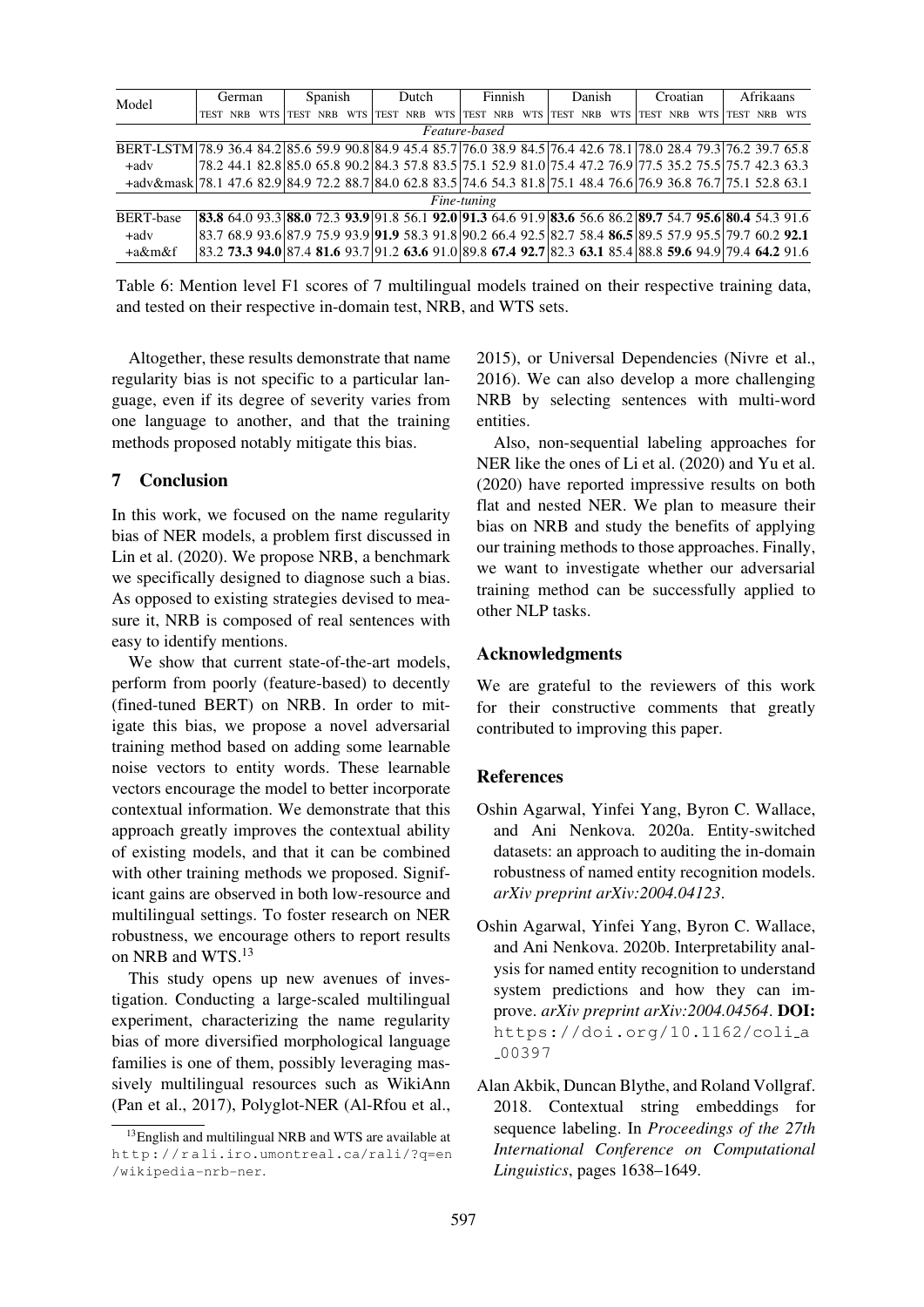| Model                                                                                                              | <b>German</b> |            |                                                                                                          |  | Spanish    |      |            | Dutch      |      |             | Finnish    |             |            | Danish     |             |            | Croatian   |      |            | Afrikaans  |  |
|--------------------------------------------------------------------------------------------------------------------|---------------|------------|----------------------------------------------------------------------------------------------------------|--|------------|------|------------|------------|------|-------------|------------|-------------|------------|------------|-------------|------------|------------|------|------------|------------|--|
| <b>NRB</b><br>TEST                                                                                                 |               | <b>WTS</b> | TEST                                                                                                     |  | <b>WTS</b> | TEST | <b>NRB</b> | <b>WTS</b> | TEST | <b>NRB</b>  | <b>WTS</b> | <b>TEST</b> | <b>NRB</b> | <b>WTS</b> | <b>TEST</b> | <b>NRB</b> | <b>WTS</b> | TEST | <b>NRB</b> | <b>WTS</b> |  |
| Feature-based                                                                                                      |               |            |                                                                                                          |  |            |      |            |            |      |             |            |             |            |            |             |            |            |      |            |            |  |
| BERT-LSTM 78.9 36.4 84.2 85.6 59.9 90.8 84.9 45.4 85.7 76.0 38.9 84.5 76.4 42.6 78.1 78.0 28.4 79.3 76.2 39.7 65.8 |               |            |                                                                                                          |  |            |      |            |            |      |             |            |             |            |            |             |            |            |      |            |            |  |
| $+$ adv                                                                                                            |               |            | 78.2 44.1 82.8 85.0 65.8 90.2 84.3 57.8 83.5 75.1 52.9 81.0 75.4 47.2 76.9 77.5 35.2 75.5 75.7 42.3 63.3 |  |            |      |            |            |      |             |            |             |            |            |             |            |            |      |            |            |  |
| +adv&mask 78.1 47.6 82.9 84.9 72.2 88.7 84.0 62.8 83.5 74.6 54.3 81.8 75.1 48.4 76.6 76.9 36.8 76.7 75.1 52.8 63.1 |               |            |                                                                                                          |  |            |      |            |            |      |             |            |             |            |            |             |            |            |      |            |            |  |
|                                                                                                                    |               |            |                                                                                                          |  |            |      |            |            |      | Fine-tuning |            |             |            |            |             |            |            |      |            |            |  |
| <b>BERT-base</b>                                                                                                   |               |            | 83.8 64.0 93.3 88.0 72.3 93.9 91.8 56.1 92.0 91.3 64.6 91.9 83.6 56.6 86.2 89.7 54.7 95.6 80.4 54.3 91.6 |  |            |      |            |            |      |             |            |             |            |            |             |            |            |      |            |            |  |
| $+adv$                                                                                                             |               |            | 83.7 68.9 93.6 87.9 75.9 93.9 91.9 58.3 91.8 90.2 66.4 92.5 82.7 58.4 86.5 89.5 57.9 95.5 79.7 60.2 92.1 |  |            |      |            |            |      |             |            |             |            |            |             |            |            |      |            |            |  |
| $+a\&m\&f$                                                                                                         |               |            | 83.2 73.3 94.0 87.4 81.6 93.7 91.2 63.6 91.0 89.8 67.4 92.7 82.3 63.1 85.4 88.8 59.6 94.9 79.4 64.2 91.6 |  |            |      |            |            |      |             |            |             |            |            |             |            |            |      |            |            |  |

Table 6: Mention level F1 scores of 7 multilingual models trained on their respective training data, and tested on their respective in-domain test, NRB, and WTS sets.

<span id="page-11-7"></span>Altogether, these results demonstrate that name regularity bias is not specific to a particular language, even if its degree of severity varies from one language to another, and that the training methods proposed notably mitigate this bias.

## 7 Conclusion

<span id="page-11-6"></span>In this work, we focused on the name regularity bias of NER models, a problem first discussed in Lin et al. (2020). We propose NRB, a benchmark we specifically designed to diagnose such a bias. As opposed to existing strategies devised to mea[sure it, NRB is](#page-15-2) composed of real sentences with easy to identify mentions.

We show that current state-of-the-art models, perform from poorly (feature-based) to decently (fined-tuned BERT) on NRB. In order to mitigate this bias, we propose a novel adversarial training method based on adding some learnable noise vectors to entity words. These learnable vectors encourage the model to better incorporate contextual information. We demonstrate that this approach greatly improves the contextual ability of existing models, and that it can be combined with other training methods we proposed. Significant gains are observed in both low-resource and multilingual settings. To foster research on NER robustness, we encourage others to report results on NRB and WTS.13

This study opens up new avenues of investigation. Conducting a large-scaled multilingual experiment, chara[cte](#page-11-8)rizing the name regularity bias of more diversified morphological language families is one of them, possibly leveraging massively multilingual resources such as WikiAnn (Pan et al., 2017), Polyglot-NER (Al-Rfou et al., 2015), or Universal Dependencies (Nivre et al., 2016). We can also develop a more challenging NRB by selecting sentences with multi-word [entiti](#page-12-13)es.

Also, non-sequential labeling ap[proaches](#page-16-11) [for](#page-16-11) [NER](#page-16-11) like the ones of Li et al. (2020) and Yu et al. (2020) have reported impressive results on both flat and nested NER. We plan to measure their bias on NRB and study the benefits of applying our training methods [to](#page-14-6) [those](#page-14-6) [approa](#page-14-6)ches[.](#page-18-5) [Finally,](#page-18-5) [we](#page-18-5) [wa](#page-18-5)nt to investigate whether our adversarial training method can be successfully applied to other NLP tasks.

## Acknowledgments

We are grateful to the reviewers of this work for their constructive comments that greatly contributed to improving this paper.

# **References**

- Oshin Agarwal, Yinfei Yang, Byron C. Wallace, and Ani Nenkova. 2020a. Entity-switched datasets: an approach to auditing the in-domain robustness of named entity recognition models. *arXiv preprint arXiv:2004.04123*.
- <span id="page-11-5"></span><span id="page-11-4"></span><span id="page-11-1"></span><span id="page-11-0"></span>Oshin Agarwal, Yinfei Yang, Byron C. Wallace, and Ani Nenkova. 2020b. Interpretability analysis for named entity recognition to understand system predictions and how they can improve. *arXiv preprint arXiv:2004.04564*. DOI: https://doi.org/10.1162/coli a 00397
- <span id="page-11-3"></span><span id="page-11-2"></span>Alan Akbik, Duncan Blythe, and Roland Vollgraf. [2018. Contextual string embeddings for](https://doi.org/10.1162/coli_a_00397) [sequence](https://doi.org/10.1162/coli_a_00397) labeling. In *Proceedings of the 27th International Conference on Computational Linguistics*, pages 1638–1649.

<span id="page-11-8"></span><sup>13</sup>English and multilingual NRB and WTS are available at http://rali.iro.umontreal.ca/rali/?q=en [/wikipedia-nrb](#page-16-10)-ner.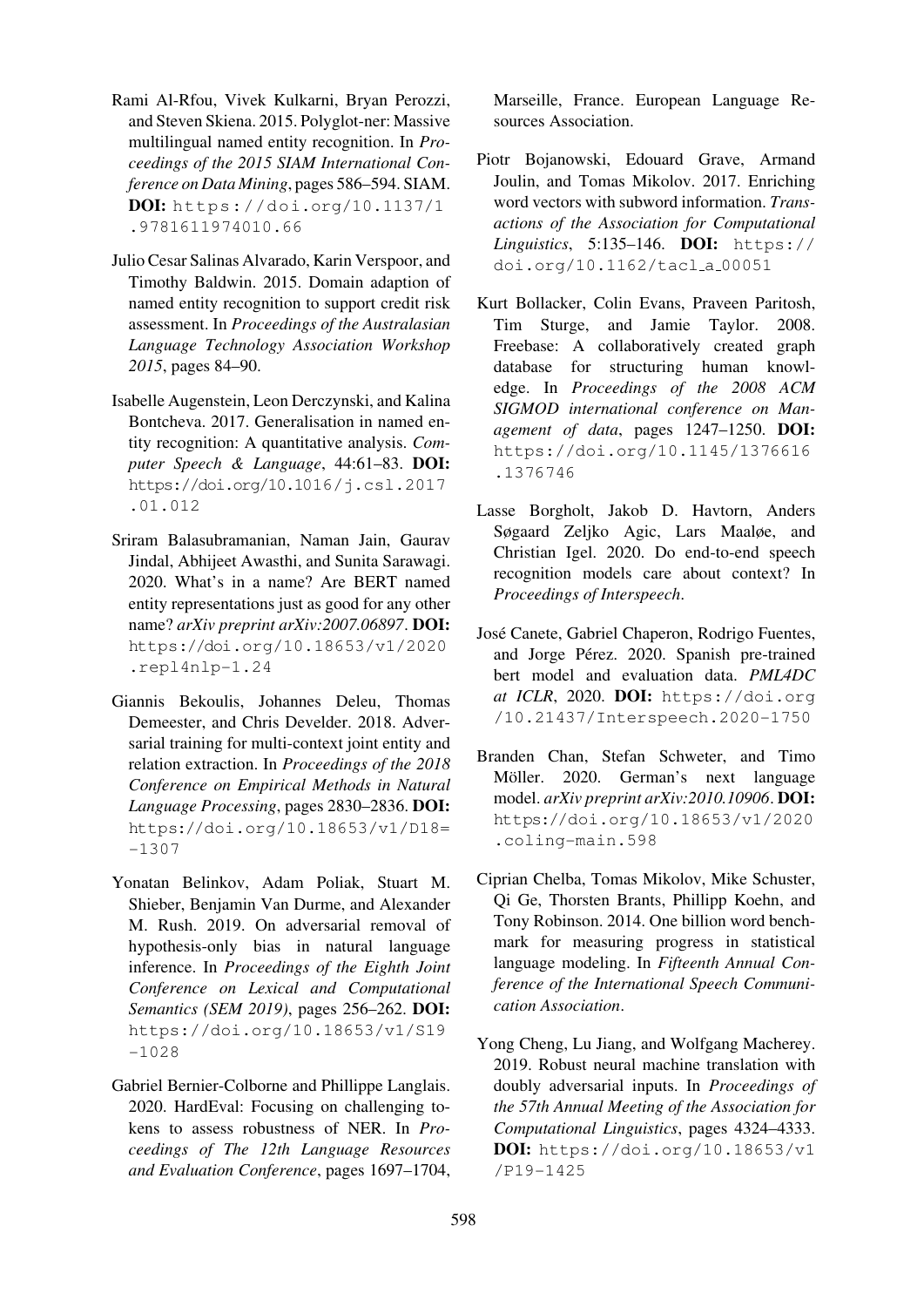- <span id="page-12-13"></span>Rami Al-Rfou, Vivek Kulkarni, Bryan Perozzi, and Steven Skiena. 2015. Polyglot-ner: Massive multilingual named entity recognition. In *Proceedings of the 2015 SIAM International Conference on Data Mining*, pages 586–594. SIAM. DOI: https://doi.org/10.1137/1 .9781611974010.66
- Julio Cesar Salinas Alvarado, Karin Verspoor, and Timot[hy Baldwin. 2015. Domain adaption of](https://doi.org/10.1137/1.9781611974010.66) [named entity recognition](https://doi.org/10.1137/1.9781611974010.66) to support credit risk assessment. In *Proceedings of the Australasian Language Technology Association Workshop 2015*, pages 84–90.
- <span id="page-12-3"></span>Isabelle Augenstein, Leon Derczynski, and Kalina Bontcheva. 2017. Generalisation in named entity recognition: A quantitative analysis. *Computer Speech & Language*, 44:61–83. DOI: https://doi.org/10.1016/j.csl.2017 .01.012
- <span id="page-12-4"></span><span id="page-12-2"></span>Sriram Balasubramanian, Naman Jain, Gaurav [Jindal, Abhijeet Awasthi, and Sunita Sarawagi.](https://doi.org/10.1016/j.csl.2017.01.012) [2020. Wha](https://doi.org/10.1016/j.csl.2017.01.012)t's in a name? Are BERT named entity representations just as good for any other name? *arXiv preprint arXiv:2007.06897*. DOI: https://doi.org/10.18653/v1/2020 .repl4nlp-1.24
- <span id="page-12-7"></span>Giannis Bekoulis, Johannes Deleu, Thomas [Demeester, and Chris Develder. 2018. Adver](https://doi.org/10.18653/v1/2020.repl4nlp-1.24)[sarial training for mul](https://doi.org/10.18653/v1/2020.repl4nlp-1.24)ti-context joint entity and relation extraction. In *Proceedings of the 2018 Conference on Empirical Methods in Natural Language Processing*, pages 2830–2836. DOI: https://doi.org/10.18653/v1/D18= -1307
- <span id="page-12-6"></span>Yonatan Belinkov, Adam Poliak, Stuart M. [Shieber, Benjamin Van Durme, and Alexander](https://doi.org/10.18653/v1/D18-1307) [M. Rus](https://doi.org/10.18653/v1/D18-1307)h. 2019. On adversarial removal of hypothesis-only bias in natural language inference. In *Proceedings of the Eighth Joint Conference on Lexical and Computational Semantics (SEM 2019)*, pages 256–262. DOI: https://doi.org/10.18653/v1/S19 -1028
- <span id="page-12-0"></span>Gabriel Bernier-Colborne and Phillippe Langlais. [2020. HardEval: Focusing on challenging to](https://doi.org/10.18653/v1/S19-1028)[kens to](https://doi.org/10.18653/v1/S19-1028) assess robustness of NER. In *Proceedings of The 12th Language Resources and Evaluation Conference*, pages 1697–1704,

Marseille, France. European Language Resources Association.

- Piotr Bojanowski, Edouard Grave, Armand Joulin, and Tomas Mikolov. 2017. Enriching word vectors with subword information. *Transactions of the Association for Computational Linguistics*, 5:135–146. DOI: https:// doi.org/10.1162/tacl a 00051
- <span id="page-12-12"></span><span id="page-12-8"></span>Kurt Bollacker, Colin Evans, Praveen Paritosh, Tim Sturge, and Jamie Ta[ylor. 2008.](https://doi.org/10.1162/tacl_a_00051) [Freebase: A collaboratively created](https://doi.org/10.1162/tacl_a_00051) graph database for structuring human knowledge. In *Proceedings of the 2008 ACM SIGMOD international conference on Management of data*, pages 1247–1250. DOI: https://doi.org/10.1145/1376616 .1376746
- Lasse Borgholt, Jakob D. Havtorn, Anders [Søgaard Zeljko Agic, Lars Maaløe, and](https://doi.org/10.1145/1376616.1376746) [Christian Ig](https://doi.org/10.1145/1376616.1376746)el. 2020. Do end-to-end speech recognition models care about context? In *Proceedings of Interspeech*.
- <span id="page-12-1"></span>José Canete, Gabriel Chaperon, Rodrigo Fuentes, and Jorge Pérez. 2020. Spanish pre-trained bert model and evaluation data. *PML4DC at ICLR*, 2020. DOI: https://doi.org /10.21437/Interspeech.2020-1750
- <span id="page-12-11"></span>Branden Chan, Stefan Schweter, and Timo Möller. 2020. Germ[an's next language](https://doi.org/10.21437/Interspeech.2020-1750) model. *[arXiv preprint arXiv:2010.10906](https://doi.org/10.21437/Interspeech.2020-1750)*. DOI: https://doi.org/10.18653/v1/2020 .coling-main.598
- <span id="page-12-10"></span><span id="page-12-9"></span>Ciprian Chelba, Tomas Mikolov, Mike Schuster, [Qi Ge, Thorsten Brants, Phillipp Koehn, and](https://doi.org/10.18653/v1/2020.coling-main.598) [Tony Robinson. 2014. O](https://doi.org/10.18653/v1/2020.coling-main.598)ne billion word benchmark for measuring progress in statistical language modeling. In *Fifteenth Annual Conference of the International Speech Communication Association*.
- <span id="page-12-5"></span>Yong Cheng, Lu Jiang, and Wolfgang Macherey. 2019. Robust neural machine translation with doubly adversarial inputs. In *Proceedings of the 57th Annual Meeting of the Association for Computational Linguistics*, pages 4324–4333. DOI: https://doi.org/10.18653/v1 /P19-1425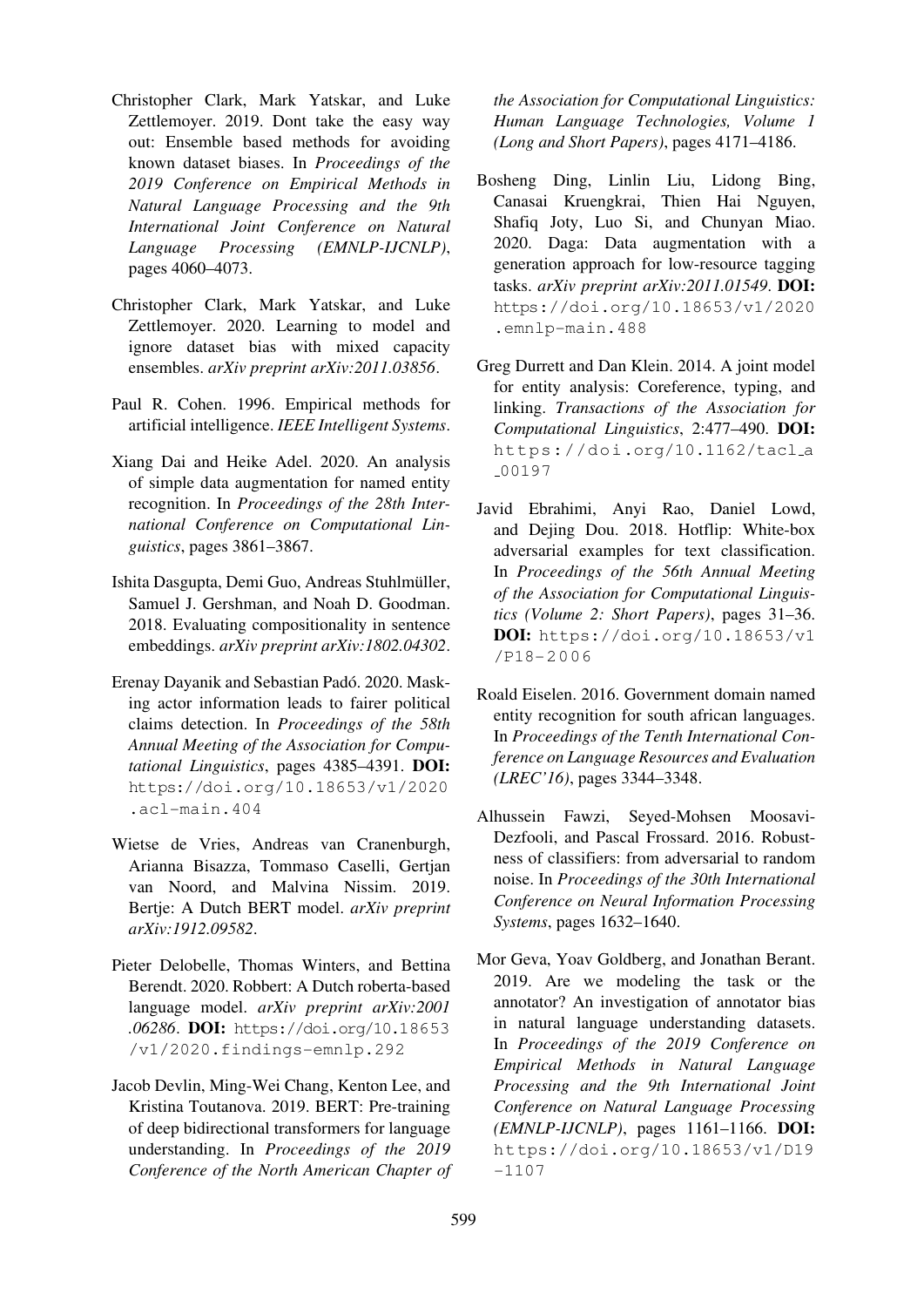- <span id="page-13-1"></span>Christopher Clark, Mark Yatskar, and Luke Zettlemoyer. 2019. Dont take the easy way out: Ensemble based methods for avoiding known dataset biases. In *Proceedings of the 2019 Conference on Empirical Methods in Natural Language Processing and the 9th International Joint Conference on Natural Language Processing (EMNLP-IJCNLP)*, pages 4060–4073.
- Christopher Clark, Mark Yatskar, and Luke Zettlemoyer. 2020. Learning to model and ignore dataset bias with mixed capacity ensembles. *arXiv preprint arXiv:2011.03856*.
- <span id="page-13-8"></span>Paul R. Cohen. 1996. Empirical methods for artificial intelligence. *IEEE Intelligent Systems*.
- <span id="page-13-11"></span>Xiang Dai and Heike Adel. 2020. An analysis of simple data augmentation for named entity recognition. In *Proceedings of the 28th International Conference on Computational Linguistics*, pages 3861–3867.
- <span id="page-13-9"></span>Ishita Dasgupta, Demi Guo, Andreas Stuhlmuller, ¨ Samuel J. Gershman, and Noah D. Goodman. 2018. Evaluating compositionality in sentence embeddings. *arXiv preprint arXiv:1802.04302*.
- <span id="page-13-4"></span><span id="page-13-2"></span>Erenay Dayanik and Sebastian Pado. 2020. Mask- ´ ing actor information leads to fairer political claims detection. In *Proceedings of the 58th Annual Meeting of the Association for Computational Linguistics*, pages 4385–4391. DOI: https://doi.org/10.18653/v1/2020 .acl-main.404
- Wietse de Vries, Andreas van Cranenburgh, [Arianna Bisazza, Tommaso Caselli, Gertjan](https://doi.org/10.18653/v1/2020.acl-main.404) [van Noord, and](https://doi.org/10.18653/v1/2020.acl-main.404) Malvina Nissim. 2019. Bertje: A Dutch BERT model. *arXiv preprint arXiv:1912.09582*.
- <span id="page-13-14"></span>Pieter Delobelle, Thomas Winters, and Bettina Berendt. 2020. Robbert: A Dutch roberta-based language model. *arXiv preprint arXiv:2001 .06286*. DOI: https://doi.org/10.18653 /v1/2020.findings-emnlp.292
- <span id="page-13-0"></span>Jacob Devlin, Ming-Wei Chang, Kenton Lee, and Kristina Touta[nova. 2019. BERT: Pre-training](https://doi.org/10.18653/v1/2020.findings-emnlp.292) [of deep bidirectional transformers for lan](https://doi.org/10.18653/v1/2020.findings-emnlp.292)guage understanding. In *Proceedings of the 2019 Conference of the North American Chapter of*

*the Association for Computational Linguistics: Human Language Technologies, Volume 1 (Long and Short Papers)*, pages 4171–4186.

- <span id="page-13-12"></span>Bosheng Ding, Linlin Liu, Lidong Bing, Canasai Kruengkrai, Thien Hai Nguyen, Shafiq Joty, Luo Si, and Chunyan Miao. 2020. Daga: Data augmentation with a generation approach for low-resource tagging tasks. *arXiv preprint arXiv:2011.01549*. DOI: https://doi.org/10.18653/v1/2020 .emnlp-main.488
- Greg Durrett and Dan Klein. 2014. A joint model [for entity analysis: Coreference, typing, and](https://doi.org/10.18653/v1/2020.emnlp-main.488) linking. *[Transactions](https://doi.org/10.18653/v1/2020.emnlp-main.488) of the Association for Computational Linguistics*, 2:477–490. DOI: https://doi.org/10.1162/tacl\_a 00197
- <span id="page-13-6"></span><span id="page-13-5"></span>Javid Ebrahimi, Anyi Rao, Daniel Lowd, [and Dejing Dou. 2018. Hotflip: White-box](https://doi.org/10.1162/tacl_a_00197) [adversari](https://doi.org/10.1162/tacl_a_00197)al examples for text classification. In *Proceedings of the 56th Annual Meeting of the Association for Computational Linguistics (Volume 2: Short Papers)*, pages 31–36. DOI: https://doi.org/10.18653/v1 /P18-2006
- Roald Eiselen. 2016. Government domain named entity [recognition for south african languages.](https://doi.org/10.18653/v1/P18-2006) In *[Proceedings](https://doi.org/10.18653/v1/P18-2006) of the Tenth International Conference on Language Resources and Evaluation (LREC'16)*, pages 3344–3348.
- <span id="page-13-13"></span>Alhussein Fawzi, Seyed-Mohsen Moosavi-Dezfooli, and Pascal Frossard. 2016. Robustness of classifiers: from adversarial to random noise. In *Proceedings of the 30th International Conference on Neural Information Processing Systems*, pages 1632–1640.
- <span id="page-13-10"></span><span id="page-13-7"></span><span id="page-13-3"></span>Mor Geva, Yoav Goldberg, and Jonathan Berant. 2019. Are we modeling the task or the annotator? An investigation of annotator bias in natural language understanding datasets. In *Proceedings of the 2019 Conference on Empirical Methods in Natural Language Processing and the 9th International Joint Conference on Natural Language Processing (EMNLP-IJCNLP)*, pages 1161–1166. DOI: https://doi.org/10.18653/v1/D19 -1107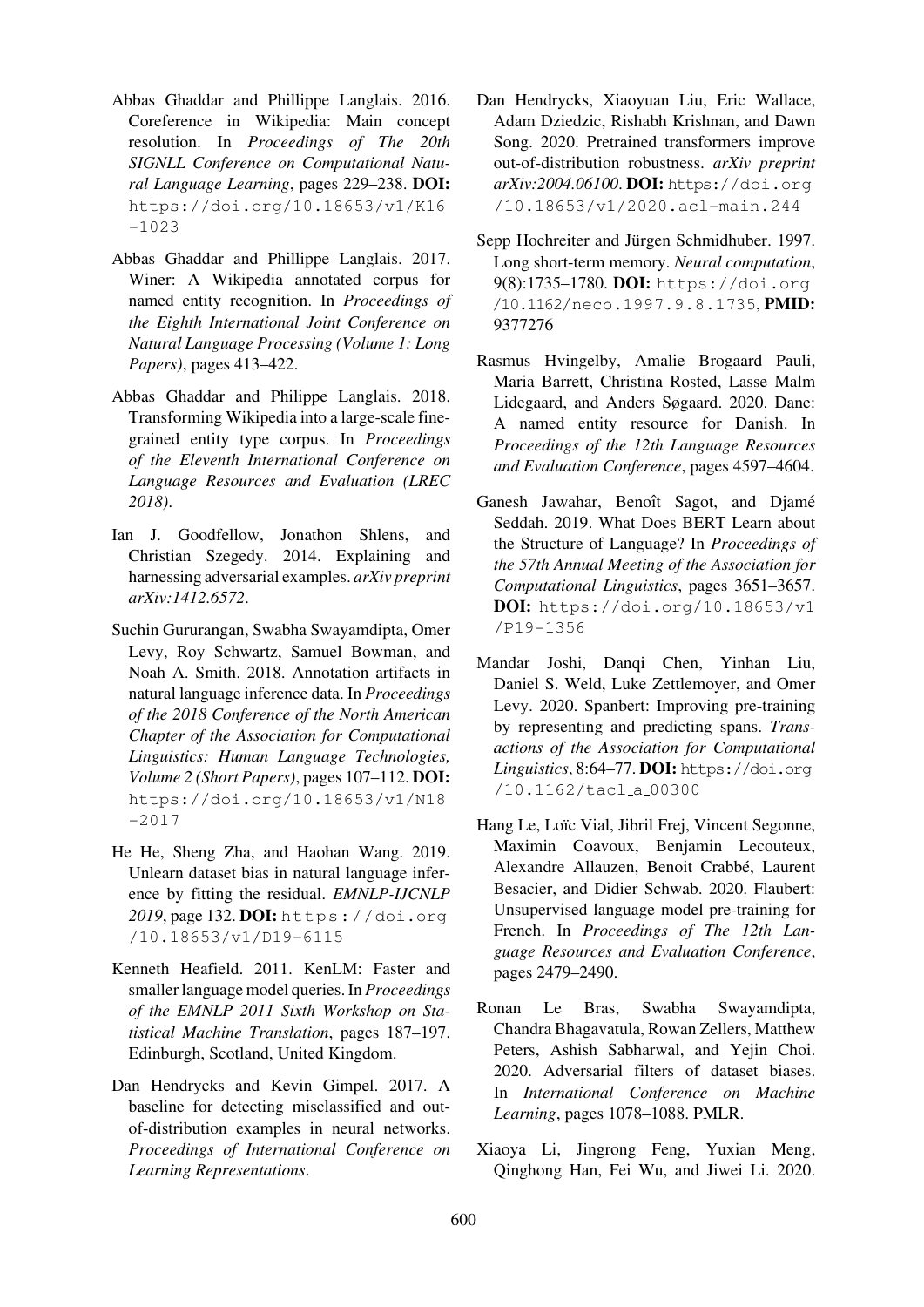- <span id="page-14-3"></span>Abbas Ghaddar and Phillippe Langlais. 2016. Coreference in Wikipedia: Main concept resolution. In *Proceedings of The 20th SIGNLL Conference on Computational Natural Language Learning*, pages 229–238. DOI: https://doi.org/10.18653/v1/K16 -1023
- Abbas Ghaddar and Phillippe Langlais. 2017. [Winer: A Wikipedia annotated corpus for](https://doi.org/10.18653/v1/K16-1023) [named](https://doi.org/10.18653/v1/K16-1023) entity recognition. In *Proceedings of the Eighth International Joint Conference on Natural Language Processing (Volume 1: Long Papers)*, pages 413–422.
- Abbas Ghaddar and Philippe Langlais. 2018. Transforming Wikipedia into a large-scale finegrained entity type corpus. In *Proceedings of the Eleventh International Conference on Language Resources and Evaluation (LREC 2018)*.
- <span id="page-14-4"></span>Ian J. Goodfellow, Jonathon Shlens, and Christian Szegedy. 2014. Explaining and harnessing adversarial examples. *arXiv preprint arXiv:1412.6572*.
- <span id="page-14-0"></span>Suchin Gururangan, Swabha Swayamdipta, Omer Levy, Roy Schwartz, Samuel Bowman, and Noah A. Smith. 2018. Annotation artifacts in natural language inference data. In *Proceedings of the 2018 Conference of the North American Chapter of the Association for Computational Linguistics: Human Language Technologies, Volume 2 (Short Papers)*, pages 107–112. DOI: https://doi.org/10.18653/v1/N18 -2017
- He He, Sheng Zha, and Haohan Wang. 2019. [Unlearn dataset bias in natural language infer](https://doi.org/10.18653/v1/N18-2017)[ence by](https://doi.org/10.18653/v1/N18-2017) fitting the residual. *EMNLP-IJCNLP 2019*, page 132. DOI: https://doi.org /10.18653/v1/D19-6115
- <span id="page-14-1"></span>Kenneth Heafield. 2011. KenLM: Faster and smaller language mod[el queries. In](https://doi.org/10.18653/v1/D19-6115) *Proceedings [of the EMNLP 2011 Sixth Wo](https://doi.org/10.18653/v1/D19-6115)rkshop on Statistical Machine Translation*, pages 187–197. Edinburgh, Scotland, United Kingdom.
- Dan Hendrycks and Kevin Gimpel. 2017. A baseline for detecting misclassified and outof-distribution examples in neural networks. *Proceedings of International Conference on Learning Representations*.
- Dan Hendrycks, Xiaoyuan Liu, Eric Wallace, Adam Dziedzic, Rishabh Krishnan, and Dawn Song. 2020. Pretrained transformers improve out-of-distribution robustness. *arXiv preprint arXiv:2004.06100*. DOI: https://doi.org /10.18653/v1/2020.acl-main.244
- <span id="page-14-9"></span><span id="page-14-7"></span>Sepp Hochreiter and Jürgen Schmidhuber. 1997. Long short-term memory. *[Neural computation](https://doi.org/10.18653/v1/2020.acl-main.244)*, 9(8):1735–1780. DOI: [https://doi.org](https://doi.org/10.18653/v1/2020.acl-main.244) /10.1162/neco.1997.9.8.1735, PMID: 9377276
- <span id="page-14-8"></span>Rasmus Hvingelby, A[malie Brogaard Pauli,](https://doi.org/10.1162/neco.1997.9.8.1735) [Maria Barrett, Christina Rosted, Lass](https://doi.org/10.1162/neco.1997.9.8.1735)e Malm [Lidegaard](https://europepmc.org/article/MED/9377276), and Anders Søgaard. 2020. Dane: A named entity resource for Danish. In *Proceedings of the 12th Language Resources and Evaluation Conference*, pages 4597–4604.
- <span id="page-14-11"></span><span id="page-14-10"></span>Ganesh Jawahar, Benoît Sagot, and Djamé Seddah. 2019. What Does BERT Learn about the Structure of Language? In *Proceedings of the 57th Annual Meeting of the Association for Computational Linguistics*, pages 3651–3657. DOI: https://doi.org/10.18653/v1 /P19-1356
- <span id="page-14-5"></span>Mandar Joshi, Danqi Chen, Yinhan Liu, Danie[l S. Weld, Luke Zettlemoyer, and Omer](https://doi.org/10.18653/v1/P19-1356) [Levy. 2020. S](https://doi.org/10.18653/v1/P19-1356)panbert: Improving pre-training by representing and predicting spans. *Transactions of the Association for Computational* Linguistics, 8:64-77. DOI: https://doi.org /10.1162/tacl a 00300
- Hang Le, Loïc Vial, Jibril Frej, Vincent Segonne, Maximin Coavoux, Be[njamin Lecouteux,](https://doi.org/10.1162/tacl_a_00300) [Alexandre Allauzen, Benoit C](https://doi.org/10.1162/tacl_a_00300)rabbé, Laurent Besacier, and Didier Schwab. 2020. Flaubert: Unsupervised language model pre-training for French. In *Proceedings of The 12th Language Resources and Evaluation Conference*, pages 2479–2490.
- Ronan Le Bras, Swabha Swayamdipta, Chandra Bhagavatula, Rowan Zellers, Matthew Peters, Ashish Sabharwal, and Yejin Choi. 2020. Adversarial filters of dataset biases. In *International Conference on Machine Learning*, pages 1078–1088. PMLR.
- <span id="page-14-6"></span><span id="page-14-2"></span>Xiaoya Li, Jingrong Feng, Yuxian Meng, Qinghong Han, Fei Wu, and Jiwei Li. 2020.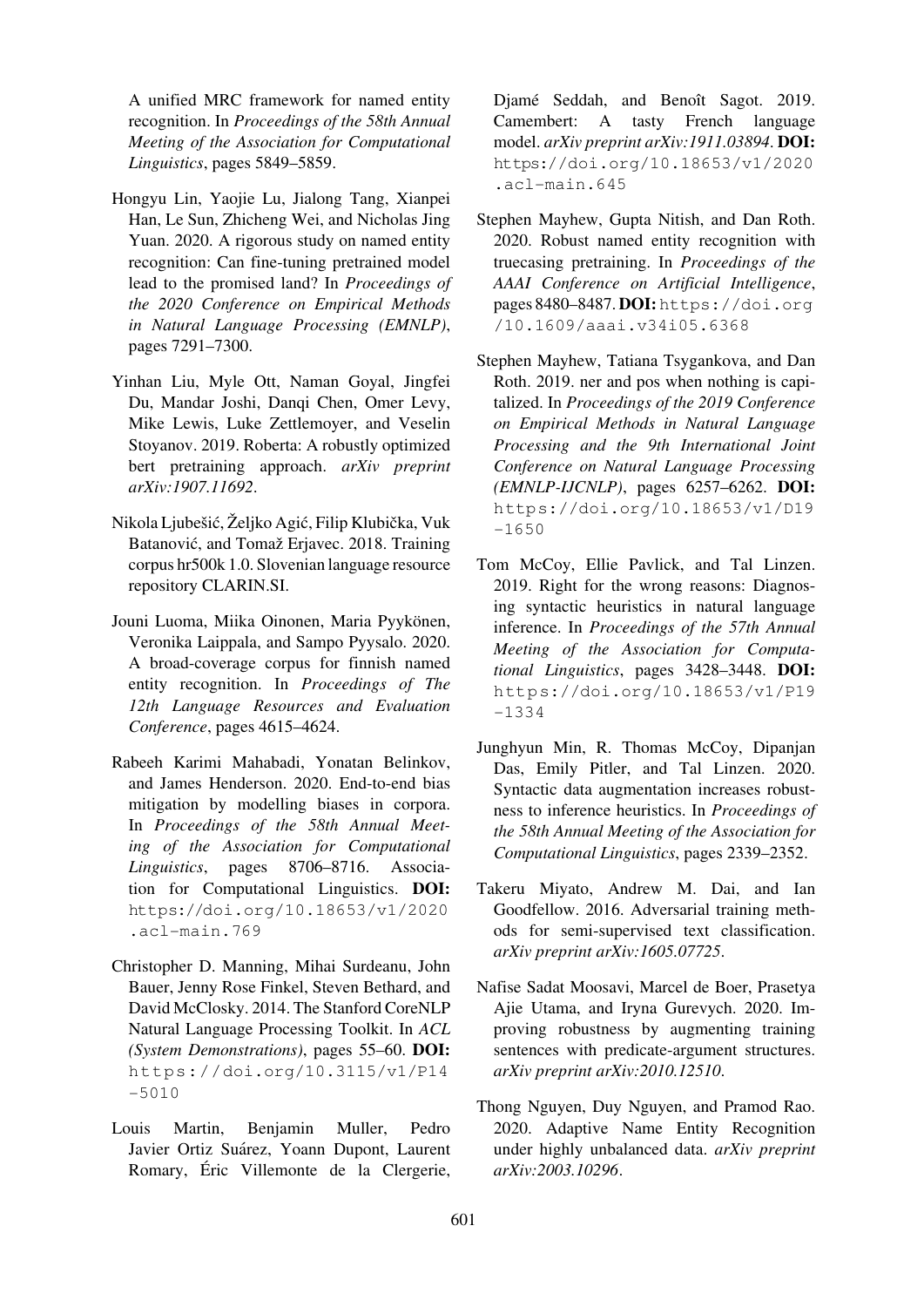A unified MRC framework for named entity recognition. In *Proceedings of the 58th Annual Meeting of the Association for Computational Linguistics*, pages 5849–5859.

- <span id="page-15-2"></span>Hongyu Lin, Yaojie Lu, Jialong Tang, Xianpei Han, Le Sun, Zhicheng Wei, and Nicholas Jing Yuan. 2020. A rigorous study on named entity recognition: Can fine-tuning pretrained model lead to the promised land? In *Proceedings of the 2020 Conference on Empirical Methods in Natural Language Processing (EMNLP)*, pages 7291–7300.
- Yinhan Liu, Myle Ott, Naman Goyal, Jingfei Du, Mandar Joshi, Danqi Chen, Omer Levy, Mike Lewis, Luke Zettlemoyer, and Veselin Stoyanov. 2019. Roberta: A robustly optimized bert pretraining approach. *arXiv preprint arXiv:1907.11692*.
- <span id="page-15-0"></span>Nikola Ljubešić, Željko Agić, Filip Klubička, Vuk Batanović, and Tomaž Erjavec. 2018. Training corpus hr500k 1.0. Slovenian language resource repository CLARIN.SI.
- <span id="page-15-12"></span>Jouni Luoma, Miika Oinonen, Maria Pyykönen, Veronika Laippala, and Sampo Pyysalo. 2020. A broad-coverage corpus for finnish named entity recognition. In *Proceedings of The 12th Language Resources and Evaluation Conference*, pages 4615–4624.
- <span id="page-15-11"></span><span id="page-15-7"></span>Rabeeh Karimi Mahabadi, Yonatan Belinkov, and James Henderson. 2020. End-to-end bias mitigation by modelling biases in corpora. In *Proceedings of the 58th Annual Meeting of the Association for Computational Linguistics*, pages 8706–8716. Association for Computational Linguistics. DOI: https://doi.org/10.18653/v1/2020 .acl-main.769
- <span id="page-15-10"></span>Christopher D. Manning, Mihai Surdeanu, John [Bauer, Jenny Rose Finkel, Steven Bethard, and](https://doi.org/10.18653/v1/2020.acl-main.769) [David McClosky. 20](https://doi.org/10.18653/v1/2020.acl-main.769)14. The Stanford CoreNLP Natural Language Processing Toolkit. In *ACL (System Demonstrations)*, pages 55–60. DOI: https://doi.org/10.3115/v1/P14 -5010
- Louis Martin, Benjamin Muller, Pedro Javier Ortiz Suárez, Yoann Dupont, Laurent [Romary](https://doi.org/10.3115/v1/P14-5010), Éric Villemonte de la Clergerie,

Djamé Seddah, and Benoît Sagot. 2019. Camembert: A tasty French language model. *arXiv preprint arXiv:1911.03894*. DOI: https://doi.org/10.18653/v1/2020 .acl-main.645

- Stephen Mayhew, Gupta Nitish, and Dan Roth. [2020. Robust named entity recognition with](https://doi.org/10.18653/v1/2020.acl-main.645) [truecasing pretraini](https://doi.org/10.18653/v1/2020.acl-main.645)ng. In *Proceedings of the AAAI Conference on Artificial Intelligence*, pages 8480–8487. DOI:https://doi.org /10.1609/aaai.v34i05.6368
- <span id="page-15-5"></span>Stephen Mayhew, Tatiana Tsygankova, and Dan Roth. 2019. ner and po[s when nothing is capi](https://doi.org/10.1609/aaai.v34i05.6368)talized. In *[Proceedings of the 2019 Co](https://doi.org/10.1609/aaai.v34i05.6368)nference on Empirical Methods in Natural Language Processing and the 9th International Joint Conference on Natural Language Processing (EMNLP-IJCNLP)*, pages 6257–6262. DOI: https://doi.org/10.18653/v1/D19 -1650
- <span id="page-15-1"></span>Tom McCoy, Ellie Pavlick, and Tal Linzen. [2019. Right for the wrong reasons: Diagnos](https://doi.org/10.18653/v1/D19-1650)[ing syn](https://doi.org/10.18653/v1/D19-1650)tactic heuristics in natural language inference. In *Proceedings of the 57th Annual Meeting of the Association for Computational Linguistics*, pages 3428–3448. DOI: https://doi.org/10.18653/v1/P19 -1334
- Junghyun Min, R. Thomas McCoy, Dipanjan [Das, Emily Pitler, and Tal Linzen. 2020.](https://doi.org/10.18653/v1/P19-1334) [Syntacti](https://doi.org/10.18653/v1/P19-1334)c data augmentation increases robustness to inference heuristics. In *Proceedings of the 58th Annual Meeting of the Association for Computational Linguistics*, pages 2339–2352.
- <span id="page-15-8"></span>Takeru Miyato, Andrew M. Dai, and Ian Goodfellow. 2016. Adversarial training methods for semi-supervised text classification. *arXiv preprint arXiv:1605.07725*.
- <span id="page-15-4"></span><span id="page-15-3"></span>Nafise Sadat Moosavi, Marcel de Boer, Prasetya Ajie Utama, and Iryna Gurevych. 2020. Improving robustness by augmenting training sentences with predicate-argument structures. *arXiv preprint arXiv:2010.12510*.
- <span id="page-15-9"></span><span id="page-15-6"></span>Thong Nguyen, Duy Nguyen, and Pramod Rao. 2020. Adaptive Name Entity Recognition under highly unbalanced data. *arXiv preprint arXiv:2003.10296*.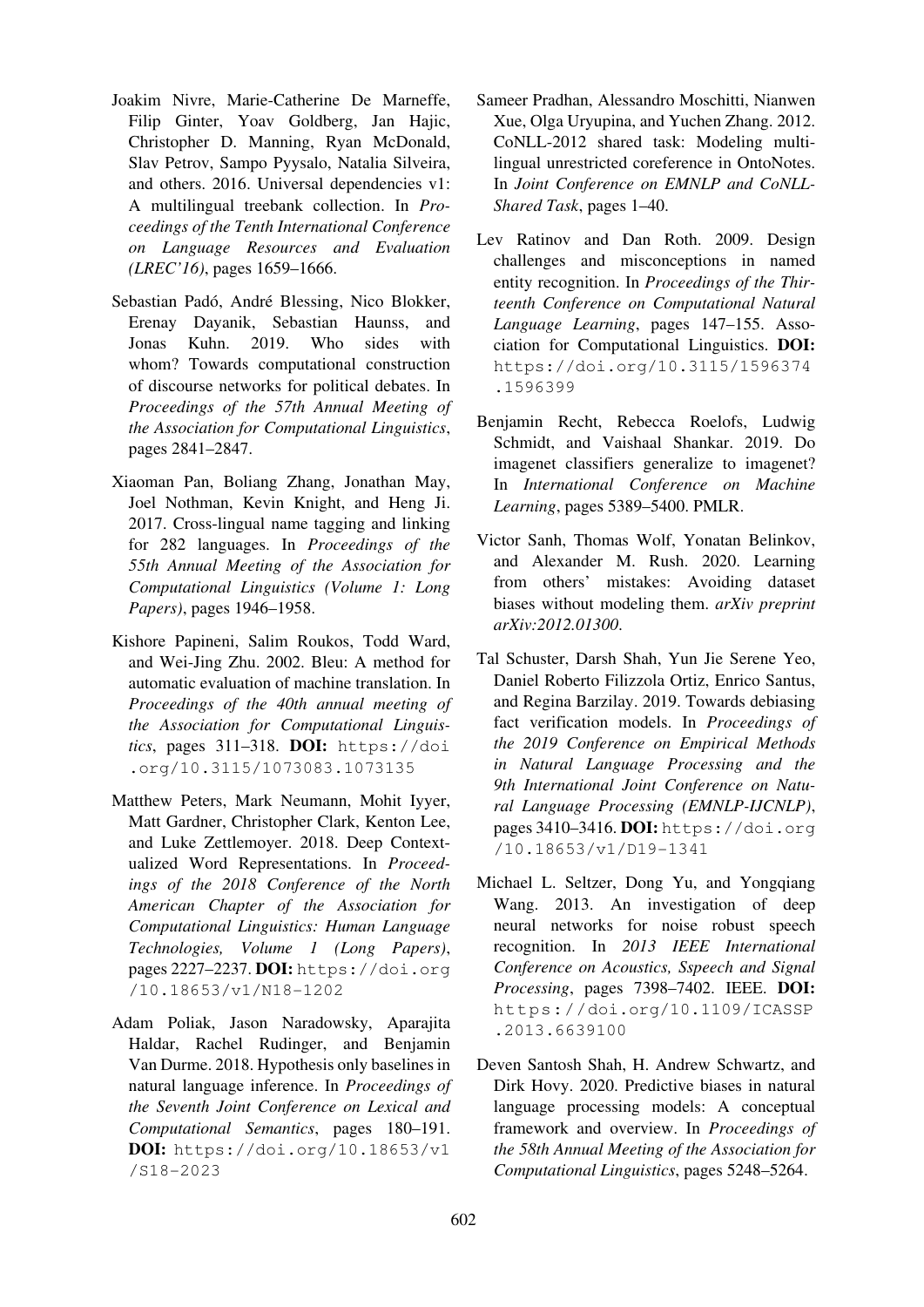- <span id="page-16-11"></span>Joakim Nivre, Marie-Catherine De Marneffe, Filip Ginter, Yoav Goldberg, Jan Hajic, Christopher D. Manning, Ryan McDonald, Slav Petrov, Sampo Pyysalo, Natalia Silveira, and others. 2016. Universal dependencies v1: A multilingual treebank collection. In *Proceedings of the Tenth International Conference on Language Resources and Evaluation (LREC'16)*, pages 1659–1666.
- <span id="page-16-7"></span>Sebastian Padó, André Blessing, Nico Blokker, Erenay Dayanik, Sebastian Haunss, and Jonas Kuhn. 2019. Who sides with whom? Towards computational construction of discourse networks for political debates. In *Proceedings of the 57th Annual Meeting of the Association for Computational Linguistics*, pages 2841–2847.
- <span id="page-16-10"></span>Xiaoman Pan, Boliang Zhang, Jonathan May, Joel Nothman, Kevin Knight, and Heng Ji. 2017. Cross-lingual name tagging and linking for 282 languages. In *Proceedings of the 55th Annual Meeting of the Association for Computational Linguistics (Volume 1: Long Papers)*, pages 1946–1958.
- <span id="page-16-9"></span>Kishore Papineni, Salim Roukos, Todd Ward, and Wei-Jing Zhu. 2002. Bleu: A method for automatic evaluation of machine translation. In *Proceedings of the 40th annual meeting of the Association for Computational Linguistics*, pages 311–318. DOI: https://doi .org/10.3115/1073083.1073135
- <span id="page-16-0"></span>Matthew Peters, Mark Neumann, Mohit Iyyer, Matt Gardner, Christopher Cl[ark, Kenton Lee,](https://doi.org/10.3115/1073083.1073135) [and Luke Zettlemoyer. 2018. Deep Con](https://doi.org/10.3115/1073083.1073135)textualized Word Representations. In *Proceedings of the 2018 Conference of the North American Chapter of the Association for Computational Linguistics: Human Language Technologies, Volume 1 (Long Papers)*, pages 2227–2237. DOI: https://doi.org /10.18653/v1/N18-1202
- <span id="page-16-4"></span>Adam Poliak, Jason Naradowsky, Aparajita Haldar, Rachel Rudi[nger, and Benjamin](https://doi.org/10.18653/v1/N18-1202) [Van Durme. 2018. Hypothesis o](https://doi.org/10.18653/v1/N18-1202)nly baselines in natural language inference. In *Proceedings of the Seventh Joint Conference on Lexical and Computational Semantics*, pages 180–191. DOI: https://doi.org/10.18653/v1 /S18-2023
- Sameer Pradhan, Alessandro Moschitti, Nianwen Xue, Olga Uryupina, and Yuchen Zhang. 2012. CoNLL-2012 shared task: Modeling multilingual unrestricted coreference in OntoNotes. In *Joint Conference on EMNLP and CoNLL-Shared Task*, pages 1–40.
- <span id="page-16-8"></span>Lev Ratinov and Dan Roth. 2009. Design challenges and misconceptions in named entity recognition. In *Proceedings of the Thirteenth Conference on Computational Natural Language Learning*, pages 147–155. Association for Computational Linguistics. DOI: https://doi.org/10.3115/1596374 .1596399
- Benjamin Recht, Rebecca Roelofs, Ludwig [Schmidt, and Vaishaal Shankar. 2019. Do](https://doi.org/10.3115/1596374.1596399) [imagenet cl](https://doi.org/10.3115/1596374.1596399)assifiers generalize to imagenet? In *International Conference on Machine Learning*, pages 5389–5400. PMLR.
- <span id="page-16-1"></span>Victor Sanh, Thomas Wolf, Yonatan Belinkov, and Alexander M. Rush. 2020. Learning from others' mistakes: Avoiding dataset biases without modeling them. *arXiv preprint arXiv:2012.01300*.
- <span id="page-16-6"></span><span id="page-16-5"></span>Tal Schuster, Darsh Shah, Yun Jie Serene Yeo, Daniel Roberto Filizzola Ortiz, Enrico Santus, and Regina Barzilay. 2019. Towards debiasing fact verification models. In *Proceedings of the 2019 Conference on Empirical Methods in Natural Language Processing and the 9th International Joint Conference on Natural Language Processing (EMNLP-IJCNLP)*, pages 3410–3416. DOI: https://doi.org /10.18653/v1/D19-1341
- <span id="page-16-2"></span>Michael L. Seltzer, Dong Yu, and Yongqiang Wang. 2013. An in[vestigation of deep](https://doi.org/10.18653/v1/D19-1341) [neural networks for noise](https://doi.org/10.18653/v1/D19-1341) robust speech recognition. In *2013 IEEE International Conference on Acoustics, Sspeech and Signal Processing*, pages 7398–7402. IEEE. DOI: https://doi.org/10.1109/ICASSP .2013.6639100
- <span id="page-16-3"></span>Deven Santosh Shah, H. Andrew Schwartz, and [Dirk Hovy. 2020. Predictive biases in natural](https://doi.org/10.1109/ICASSP.2013.6639100) [language processin](https://doi.org/10.1109/ICASSP.2013.6639100)g models: A conceptual framework and overview. In *Proceedings of the 58th Annual Meeting of the Association for Computational Linguistics*, pages 5248–5264.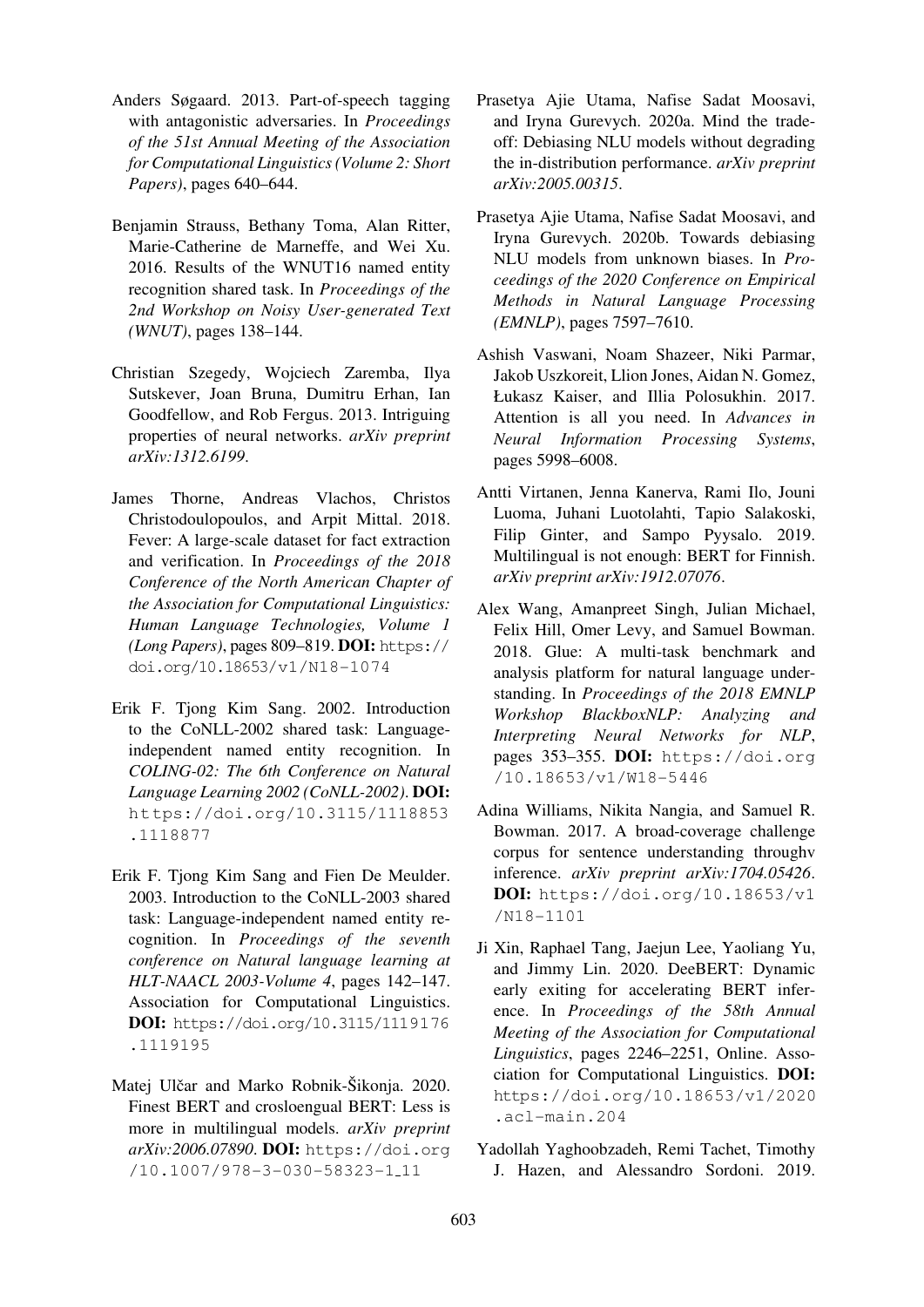- Anders Søgaard. 2013. Part-of-speech tagging with antagonistic adversaries. In *Proceedings of the 51st Annual Meeting of the Association for Computational Linguistics (Volume 2: Short Papers)*, pages 640–644.
- <span id="page-17-2"></span>Benjamin Strauss, Bethany Toma, Alan Ritter, Marie-Catherine de Marneffe, and Wei Xu. 2016. Results of the WNUT16 named entity recognition shared task. In *Proceedings of the 2nd Workshop on Noisy User-generated Text (WNUT)*, pages 138–144.
- <span id="page-17-6"></span>Christian Szegedy, Wojciech Zaremba, Ilya Sutskever, Joan Bruna, Dumitru Erhan, Ian Goodfellow, and Rob Fergus. 2013. Intriguing properties of neural networks. *arXiv preprint arXiv:1312.6199*.
- <span id="page-17-4"></span><span id="page-17-1"></span>James Thorne, Andreas Vlachos, Christos Christodoulopoulos, and Arpit Mittal. 2018. Fever: A large-scale dataset for fact extraction and verification. In *Proceedings of the 2018 Conference of the North American Chapter of the Association for Computational Linguistics: Human Language Technologies, Volume 1 (Long Papers)*, pages 809–819. DOI: https:// doi.org/10.18653/v1/N18-1074
- <span id="page-17-10"></span>Erik F. Tjong Kim Sang. 2002. Introduction to the CoNLL-2002 shared task: [Language](https://doi.org/10.18653/v1/N18-1074)[independent](https://doi.org/10.18653/v1/N18-1074) [named](https://doi.org/10.18653/v1/N18-1074) [entity](https://doi.org/10.18653/v1/N18-1074) [recognit](https://doi.org/10.18653/v1/N18-1074)ion. In *COLING-02: The 6th Conference on Natural Language Learning 2002 (CoNLL-2002)*. DOI: https://doi.org/10.3115/1118853 .1118877
- <span id="page-17-8"></span>Erik F. Tjong Kim Sang and Fien De Meulder. [2003. Introduction to the CoNLL-2003 shared](https://doi.org/10.3115/1118853.1118877) [task:](https://doi.org/10.3115/1118853.1118877) [Langua](https://doi.org/10.3115/1118853.1118877)ge-independent named entity recognition. In *Proceedings of the seventh conference on Natural language learning at HLT-NAACL 2003-Volume 4*, pages 142–147. Association for Computational Linguistics. DOI: https://doi.org/10.3115/1119176 .1119195
- <span id="page-17-13"></span>Matej Ulčar and Marko Robnik-Šikonja. 2020. Finest [BERT](https://doi.org/10.3115/1119176.1119195) [and](https://doi.org/10.3115/1119176.1119195) [crosloengual](https://doi.org/10.3115/1119176.1119195) [BERT:](https://doi.org/10.3115/1119176.1119195) [Less](https://doi.org/10.3115/1119176.1119195) [is](https://doi.org/10.3115/1119176.1119195) [more](https://doi.org/10.3115/1119176.1119195) [in](https://doi.org/10.3115/1119176.1119195) [mu](https://doi.org/10.3115/1119176.1119195)ltilingual models. *arXiv preprint arXiv:2006.07890*. DOI: https://doi.org /10.1007/978-3-030-58323-1 11
- Prasetya Ajie Utama, Nafise Sadat Moosavi, and Iryna Gurevych. 2020a. Mind the tradeoff: Debiasing NLU models without degrading the in-distribution performance. *arXiv preprint arXiv:2005.00315*.
- <span id="page-17-7"></span>Prasetya Ajie Utama, Nafise Sadat Moosavi, and Iryna Gurevych. 2020b. Towards debiasing NLU models from unknown biases. In *Proceedings of the 2020 Conference on Empirical Methods in Natural Language Processing (EMNLP)*, pages 7597–7610.
- <span id="page-17-0"></span>Ashish Vaswani, Noam Shazeer, Niki Parmar, Jakob Uszkoreit, Llion Jones, Aidan N. Gomez, Łukasz Kaiser, and Illia Polosukhin. 2017. Attention is all you need. In *Advances in Neural Information Processing Systems*, pages 5998–6008.
- <span id="page-17-9"></span>Antti Virtanen, Jenna Kanerva, Rami Ilo, Jouni Luoma, Juhani Luotolahti, Tapio Salakoski, Filip Ginter, and Sampo Pyysalo. 2019. Multilingual is not enough: BERT for Finnish. *arXiv preprint arXiv:1912.07076*.
- <span id="page-17-12"></span><span id="page-17-11"></span><span id="page-17-5"></span>Alex Wang, Amanpreet Singh, Julian Michael, Felix Hill, Omer Levy, and Samuel Bowman. 2018. Glue: A multi-task benchmark and analysis platform for natural language understanding. In *Proceedings of the 2018 EMNLP Workshop BlackboxNLP: Analyzing and Interpreting Neural Networks for NLP*, pages 353–355. DOI: https://doi.org /10.18653/v1/W18-5446
- Adina Williams, Nikita Nangia, and Samuel R. Bowman. 2017. A bro[ad-coverage challenge](https://doi.org/10.18653/v1/W18-5446) [corpus for sentence understan](https://doi.org/10.18653/v1/W18-5446)ding throughv inference. *arXiv preprint arXiv:1704.05426*. DOI: https://doi.org/10.18653/v1 /N18-1101
- <span id="page-17-3"></span>Ji Xin, Raphael Tang, Jaejun Lee, Yaoliang Yu, and J[immy Lin. 2020. DeeBERT: Dynamic](https://doi.org/10.18653/v1/N18-1101) [early exiting](https://doi.org/10.18653/v1/N18-1101) for accelerating BERT inference. In *Proceedings of the 58th Annual Meeting of the Association for Computational Linguistics*, pages 2246–2251, Online. Association for Computational Linguistics. DOI: https://doi.org/10.18653/v1/2020 .acl-main.204
- Yadollah Yaghoobzadeh, Remi Tachet, Timothy [J. Hazen, and Alessandro Sordoni. 2019.](https://doi.org/10.18653/v1/2020.acl-main.204)